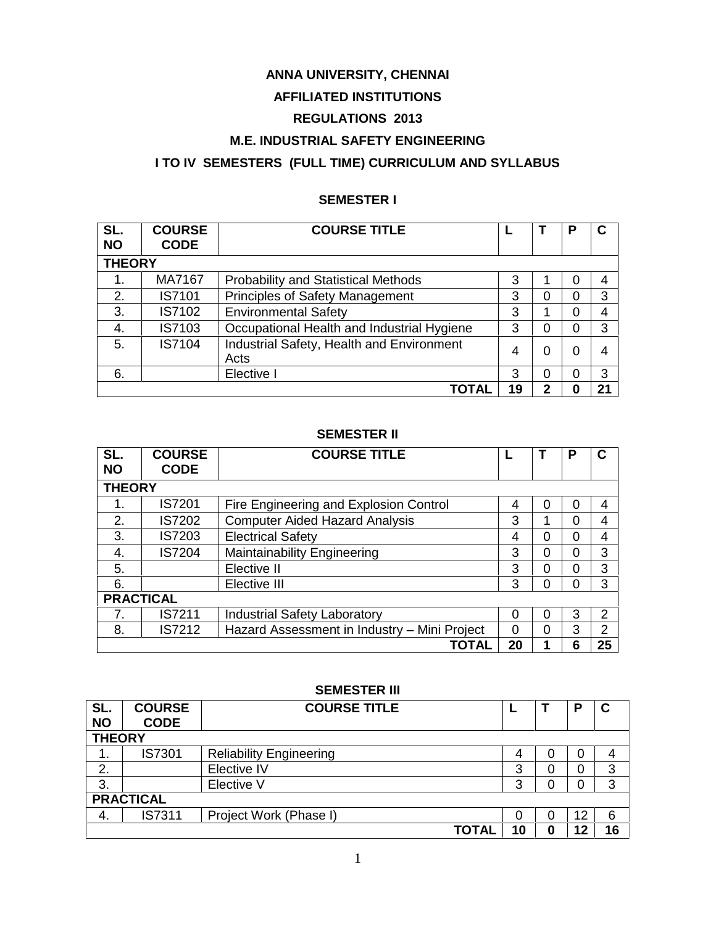### **ANNA UNIVERSITY, CHENNAI**

#### **AFFILIATED INSTITUTIONS**

### **REGULATIONS 2013**

#### **M.E. INDUSTRIAL SAFETY ENGINEERING**

### **I TO IV SEMESTERS (FULL TIME) CURRICULUM AND SYLLABUS**

#### **SEMESTER I**

| SL.<br><b>NO</b> | <b>COURSE</b><br><b>CODE</b> | <b>COURSE TITLE</b>                               |    |          | o | C  |  |  |  |
|------------------|------------------------------|---------------------------------------------------|----|----------|---|----|--|--|--|
| <b>THEORY</b>    |                              |                                                   |    |          |   |    |  |  |  |
| 1.               | MA7167                       | <b>Probability and Statistical Methods</b>        | 3  |          | 0 | 4  |  |  |  |
| 2.               | IS7101                       | Principles of Safety Management                   | 3  | $\Omega$ | 0 | 3  |  |  |  |
| 3.               | IS7102                       | <b>Environmental Safety</b>                       | 3  | 1        | 0 | 4  |  |  |  |
| 4.               | IS7103                       | Occupational Health and Industrial Hygiene        | 3  | 0        | 0 | 3  |  |  |  |
| 5.               | IS7104                       | Industrial Safety, Health and Environment<br>Acts | 4  | $\Omega$ | 0 | 4  |  |  |  |
| 6.               |                              | Elective I                                        | 3  | 0        | 0 | 3  |  |  |  |
|                  |                              | ΤΟΤΑΙ                                             | 19 | 2        | O | 21 |  |  |  |

#### **SEMESTER II**

| SL.<br><b>NO</b> | <b>COURSE</b><br><b>CODE</b> | <b>COURSE TITLE</b>                          |    |          | Р | C  |  |  |  |
|------------------|------------------------------|----------------------------------------------|----|----------|---|----|--|--|--|
| <b>THEORY</b>    |                              |                                              |    |          |   |    |  |  |  |
| 1.               | IS7201                       | Fire Engineering and Explosion Control       | 4  | 0        | 0 | 4  |  |  |  |
| 2.               | IS7202                       | <b>Computer Aided Hazard Analysis</b>        | 3  |          | 0 | 4  |  |  |  |
| 3.               | <b>IS7203</b>                | <b>Electrical Safety</b>                     | 4  | 0        | ი | 4  |  |  |  |
| 4.               | <b>IS7204</b>                | Maintainability Engineering                  | 3  | 0        | ი | 3  |  |  |  |
| 5.               |                              | Elective II                                  | 3  | 0        | ი | 3  |  |  |  |
| 6.               |                              | Elective III                                 | 3  | 0        | 0 | 3  |  |  |  |
| <b>PRACTICAL</b> |                              |                                              |    |          |   |    |  |  |  |
|                  | IS7211                       | <b>Industrial Safety Laboratory</b>          | 0  | 0        | 3 | 2  |  |  |  |
| 8.               | IS7212                       | Hazard Assessment in Industry - Mini Project | 0  | $\Omega$ | 3 | 2  |  |  |  |
|                  |                              | TOTAL                                        | 20 |          | 6 | 25 |  |  |  |

#### **SEMESTER III**

| SL.<br><b>NO</b> | <b>COURSE</b><br><b>CODE</b> | <b>COURSE TITLE</b>            |    |  | P  | $\mathbf c$ |  |  |
|------------------|------------------------------|--------------------------------|----|--|----|-------------|--|--|
| <b>THEORY</b>    |                              |                                |    |  |    |             |  |  |
| ι.               | <b>IS7301</b>                | <b>Reliability Engineering</b> | 4  |  | 0  | 4           |  |  |
| 2.               |                              | Elective IV                    | 3  |  | 0  | 3           |  |  |
| 3.               |                              | Elective V                     | 3  |  | 0  | 3           |  |  |
| <b>PRACTICAL</b> |                              |                                |    |  |    |             |  |  |
| 4.               | <b>IS7311</b>                | Project Work (Phase I)         | 0  |  | 12 | 6           |  |  |
|                  |                              | <b>TOTAL</b>                   | 10 |  | 12 | 16          |  |  |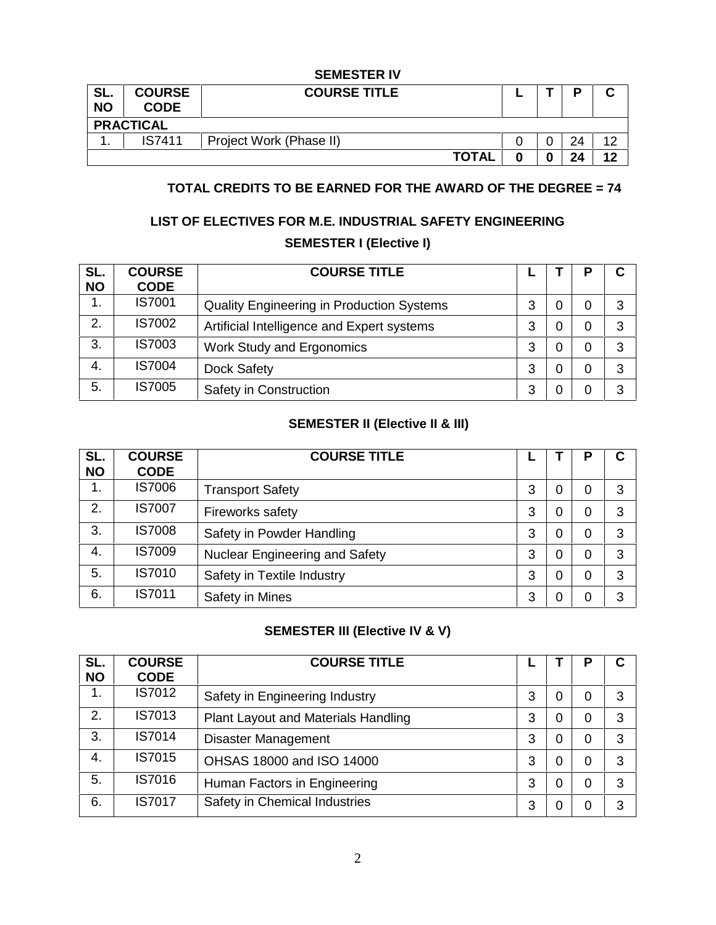#### **SEMESTER IV**

| SL.<br><b>NO</b> | <b>COURSE</b><br><b>CODE</b> | <b>COURSE TITLE</b>     |   |   | D  | ◠<br>v |  |  |
|------------------|------------------------------|-------------------------|---|---|----|--------|--|--|
|                  | <b>PRACTICAL</b>             |                         |   |   |    |        |  |  |
| . .              | <b>IS7411</b>                | Project Work (Phase II) |   | ∩ | 24 | 10     |  |  |
|                  |                              | <b>TOTAL</b>            | Λ |   | 2Δ | 12     |  |  |

#### **TOTAL CREDITS TO BE EARNED FOR THE AWARD OF THE DEGREE = 74**

### **LIST OF ELECTIVES FOR M.E. INDUSTRIAL SAFETY ENGINEERING SEMESTER I (Elective I)**

| SL.<br><b>NO</b> | <b>COURSE</b><br><b>CODE</b> | <b>COURSE TITLE</b>                              |   |   |   | C |
|------------------|------------------------------|--------------------------------------------------|---|---|---|---|
|                  | <b>IS7001</b>                | <b>Quality Engineering in Production Systems</b> | 3 | 0 | 0 | 3 |
| 2.               | <b>IS7002</b>                | Artificial Intelligence and Expert systems       | 3 | 0 | 0 | 3 |
| 3.               | <b>IS7003</b>                | Work Study and Ergonomics                        | 3 | 0 | 0 | 3 |
| 4.               | <b>IS7004</b>                | Dock Safety                                      | 3 | 0 | 0 | 3 |
| 5.               | <b>IS7005</b>                | Safety in Construction                           | 3 | 0 | 0 | 3 |

#### **SEMESTER II (Elective II & III)**

| SL.<br><b>NO</b> | <b>COURSE</b><br><b>CODE</b> | <b>COURSE TITLE</b>                   |   |   | D        | C |
|------------------|------------------------------|---------------------------------------|---|---|----------|---|
| 1.               | <b>IS7006</b>                | <b>Transport Safety</b>               | 3 | 0 | $\Omega$ | 3 |
| 2.               | <b>IS7007</b>                | Fireworks safety                      | 3 | 0 | 0        | 3 |
| 3.               | <b>IS7008</b>                | Safety in Powder Handling             | 3 | 0 | 0        | 3 |
| 4.               | <b>IS7009</b>                | <b>Nuclear Engineering and Safety</b> | 3 | 0 | 0        | 3 |
| 5.               | IS7010                       | Safety in Textile Industry            | 3 | 0 | 0        | 3 |
| 6.               | IS7011                       | Safety in Mines                       | 3 | 0 | 0        | 3 |

### **SEMESTER III (Elective IV & V)**

| SL.<br><b>NO</b> | <b>COURSE</b><br><b>CODE</b> | <b>COURSE TITLE</b>                        |   |   | Р | C |
|------------------|------------------------------|--------------------------------------------|---|---|---|---|
| 1.               | IS7012                       | Safety in Engineering Industry             | 3 | 0 | 0 | 3 |
| 2.               | IS7013                       | <b>Plant Layout and Materials Handling</b> | 3 | 0 | 0 | 3 |
| 3.               | <b>IS7014</b>                | Disaster Management                        | 3 | 0 | 0 | 3 |
| 4.               | IS7015                       | OHSAS 18000 and ISO 14000                  | 3 | 0 | 0 | 3 |
| 5.               | IS7016                       | Human Factors in Engineering               | 3 | 0 | 0 | 3 |
| 6.               | IS7017                       | Safety in Chemical Industries              | 3 | 0 | 0 | 3 |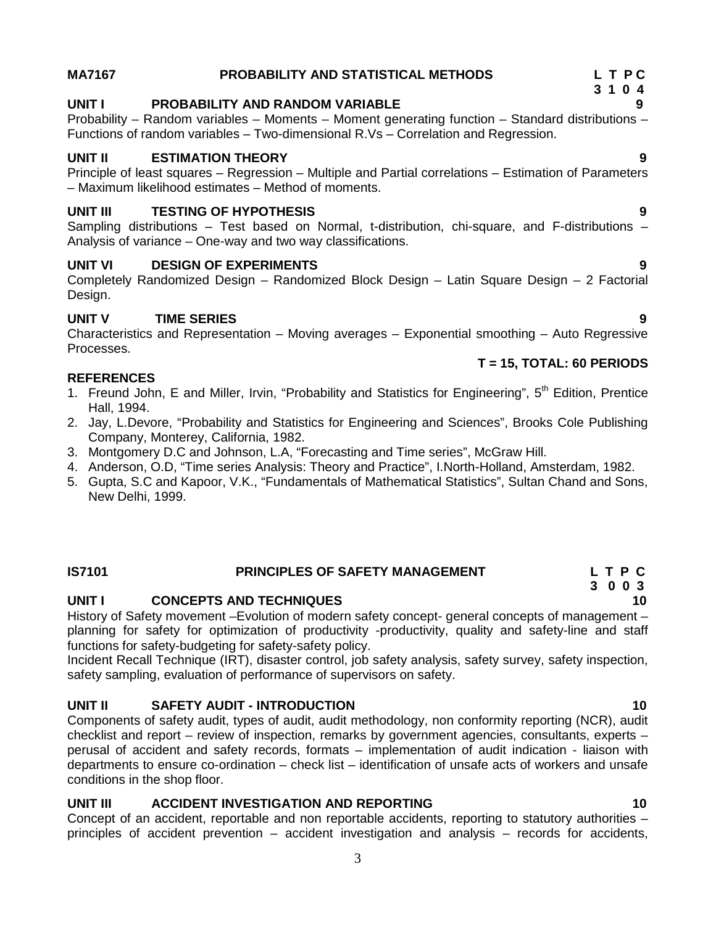#### **MA7167 PROBABILITY AND STATISTICAL METHODS L T P C**

### **UNIT I PROBABILITY AND RANDOM VARIABLE 9**

Probability – Random variables – Moments – Moment generating function – Standard distributions – Functions of random variables – Two-dimensional R.Vs – Correlation and Regression.

### **UNIT II ESTIMATION THEORY 9**

Principle of least squares – Regression – Multiple and Partial correlations – Estimation of Parameters – Maximum likelihood estimates – Method of moments.

### **UNIT III TESTING OF HYPOTHESIS 9**

Sampling distributions – Test based on Normal, t-distribution, chi-square, and F-distributions – Analysis of variance – One-way and two way classifications.

### **UNIT VI DESIGN OF EXPERIMENTS 9**

Completely Randomized Design – Randomized Block Design – Latin Square Design – 2 Factorial Design.

### **UNIT V TIME SERIES 9**

Characteristics and Representation – Moving averages – Exponential smoothing – Auto Regressive Processes.

#### **REFERENCES**

- 1. Freund John, E and Miller, Irvin, "Probability and Statistics for Engineering", 5<sup>th</sup> Edition, Prentice Hall, 1994.
- 2. Jay, L.Devore, "Probability and Statistics for Engineering and Sciences", Brooks Cole Publishing Company, Monterey, California, 1982.
- 3. Montgomery D.C and Johnson, L.A, "Forecasting and Time series", McGraw Hill.
- 4. Anderson, O.D, "Time series Analysis: Theory and Practice", I.North-Holland, Amsterdam, 1982.
- 5. Gupta, S.C and Kapoor, V.K., "Fundamentals of Mathematical Statistics", Sultan Chand and Sons, New Delhi, 1999.

### **IS7101 PRINCIPLES OF SAFETY MANAGEMENT L T P C**

**UNIT I CONCEPTS AND TECHNIQUES 10**

History of Safety movement –Evolution of modern safety concept- general concepts of management – planning for safety for optimization of productivity -productivity, quality and safety-line and staff functions for safety-budgeting for safety-safety policy.

Incident Recall Technique (IRT), disaster control, job safety analysis, safety survey, safety inspection, safety sampling, evaluation of performance of supervisors on safety.

#### **UNIT II SAFETY AUDIT - INTRODUCTION 10**

Components of safety audit, types of audit, audit methodology, non conformity reporting (NCR), audit checklist and report – review of inspection, remarks by government agencies, consultants, experts – perusal of accident and safety records, formats – implementation of audit indication - liaison with departments to ensure co-ordination – check list – identification of unsafe acts of workers and unsafe conditions in the shop floor.

#### **UNIT III ACCIDENT INVESTIGATION AND REPORTING 10**

Concept of an accident, reportable and non reportable accidents, reporting to statutory authorities – principles of accident prevention – accident investigation and analysis – records for accidents,

#### **T = 15, TOTAL: 60 PERIODS**

**3 0 0 3**

## **3 1 0 4**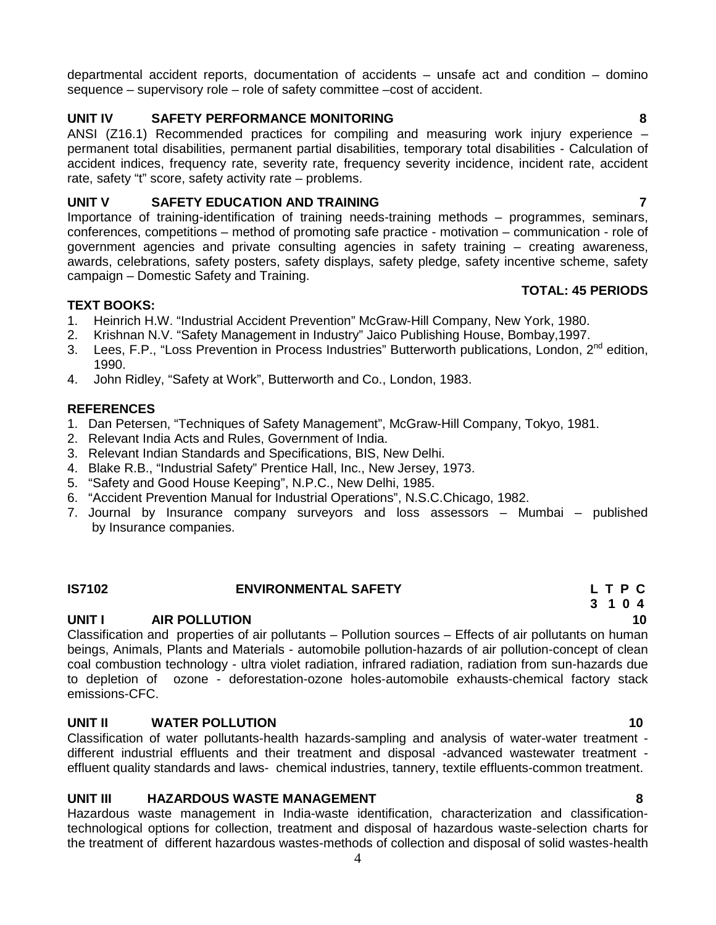departmental accident reports, documentation of accidents – unsafe act and condition – domino sequence – supervisory role – role of safety committee –cost of accident.

#### **UNIT IV SAFETY PERFORMANCE MONITORING 8**

ANSI (Z16.1) Recommended practices for compiling and measuring work injury experience – permanent total disabilities, permanent partial disabilities, temporary total disabilities - Calculation of accident indices, frequency rate, severity rate, frequency severity incidence, incident rate, accident rate, safety "t" score, safety activity rate – problems.

#### **UNIT V SAFETY EDUCATION AND TRAINING 7**

Importance of training-identification of training needs-training methods – programmes, seminars, conferences, competitions – method of promoting safe practice - motivation – communication - role of government agencies and private consulting agencies in safety training – creating awareness, awards, celebrations, safety posters, safety displays, safety pledge, safety incentive scheme, safety campaign – Domestic Safety and Training.

#### **TEXT BOOKS:**

- 1. Heinrich H.W. "Industrial Accident Prevention" McGraw-Hill Company, New York, 1980.
- 2. Krishnan N.V. "Safety Management in Industry" Jaico Publishing House, Bombay,1997.
- 3. Lees, F.P., "Loss Prevention in Process Industries" Butterworth publications, London, 2<sup>nd</sup> edition, 1990.
- 4. John Ridley, "Safety at Work", Butterworth and Co., London, 1983.

#### **REFERENCES**

- 1. Dan Petersen, "Techniques of Safety Management", McGraw-Hill Company, Tokyo, 1981.
- 2. Relevant India Acts and Rules, Government of India.
- 3. Relevant Indian Standards and Specifications, BIS, New Delhi.
- 4. Blake R.B., "Industrial Safety" Prentice Hall, Inc., New Jersey, 1973.
- 5. "Safety and Good House Keeping", N.P.C., New Delhi, 1985.
- 6. "Accident Prevention Manual for Industrial Operations", N.S.C.Chicago, 1982.
- 7. Journal by Insurance company surveyors and loss assessors Mumbai published by Insurance companies.

#### **IS7102 ENVIRONMENTAL SAFETY L T P C**

#### **UNIT I AIR POLLUTION 10**

Classification and properties of air pollutants – Pollution sources – Effects of air pollutants on human beings, Animals, Plants and Materials - automobile pollution-hazards of air pollution-concept of clean coal combustion technology - ultra violet radiation, infrared radiation, radiation from sun-hazards due to depletion of ozone - deforestation-ozone holes-automobile exhausts-chemical factory stack emissions-CFC.

#### **UNIT II WATER POLLUTION 10**

Classification of water pollutants-health hazards-sampling and analysis of water-water treatment different industrial effluents and their treatment and disposal -advanced wastewater treatment effluent quality standards and laws- chemical industries, tannery, textile effluents-common treatment.

#### **UNIT III HAZARDOUS WASTE MANAGEMENT 8**

Hazardous waste management in India-waste identification, characterization and classificationtechnological options for collection, treatment and disposal of hazardous waste-selection charts for the treatment of different hazardous wastes-methods of collection and disposal of solid wastes-health

#### **TOTAL: 45 PERIODS**

### **3 1 0 4**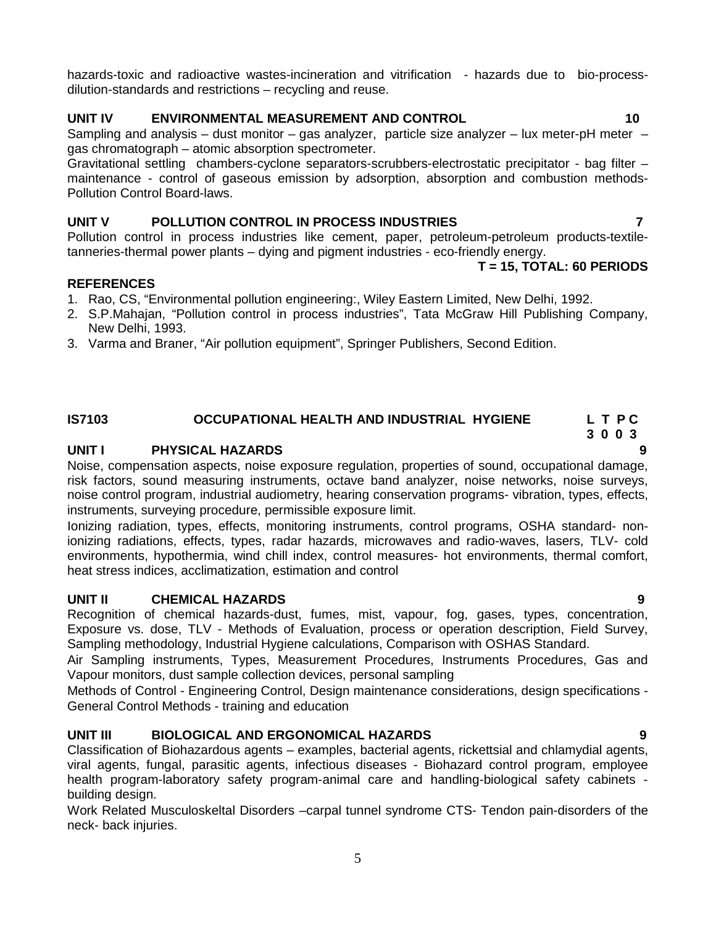hazards-toxic and radioactive wastes-incineration and vitrification - hazards due to bio-processdilution-standards and restrictions – recycling and reuse.

#### **UNIT IV ENVIRONMENTAL MEASUREMENT AND CONTROL 10**

Sampling and analysis – dust monitor – gas analyzer, particle size analyzer – lux meter-pH meter – gas chromatograph – atomic absorption spectrometer.

Gravitational settling chambers-cyclone separators-scrubbers-electrostatic precipitator - bag filter – maintenance - control of gaseous emission by adsorption, absorption and combustion methods- Pollution Control Board-laws.

#### **UNIT V POLLUTION CONTROL IN PROCESS INDUSTRIES 7**

Pollution control in process industries like cement, paper, petroleum-petroleum products-textiletanneries-thermal power plants – dying and pigment industries - eco-friendly energy.

#### **T = 15, TOTAL: 60 PERIODS**

#### **REFERENCES**

- 1. Rao, CS, "Environmental pollution engineering:, Wiley Eastern Limited, New Delhi, 1992.
- 2. S.P.Mahajan, "Pollution control in process industries", Tata McGraw Hill Publishing Company, New Delhi, 1993.
- 3. Varma and Braner, "Air pollution equipment", Springer Publishers, Second Edition.

#### **IS7103 OCCUPATIONAL HEALTH AND INDUSTRIAL HYGIENE L T P C**

#### **UNIT I PHYSICAL HAZARDS 9**

Noise, compensation aspects, noise exposure regulation, properties of sound, occupational damage, risk factors, sound measuring instruments, octave band analyzer, noise networks, noise surveys, noise control program, industrial audiometry, hearing conservation programs- vibration, types, effects, instruments, surveying procedure, permissible exposure limit.

Ionizing radiation, types, effects, monitoring instruments, control programs, OSHA standard- nonionizing radiations, effects, types, radar hazards, microwaves and radio-waves, lasers, TLV- cold environments, hypothermia, wind chill index, control measures- hot environments, thermal comfort, heat stress indices, acclimatization, estimation and control

#### **UNIT II CHEMICAL HAZARDS 9**

Recognition of chemical hazards-dust, fumes, mist, vapour, fog, gases, types, concentration, Exposure vs. dose, TLV - Methods of Evaluation, process or operation description, Field Survey, Sampling methodology, Industrial Hygiene calculations, Comparison with OSHAS Standard.

Air Sampling instruments, Types, Measurement Procedures, Instruments Procedures, Gas and Vapour monitors, dust sample collection devices, personal sampling

Methods of Control - Engineering Control, Design maintenance considerations, design specifications - General Control Methods - training and education

#### **UNIT III BIOLOGICAL AND ERGONOMICAL HAZARDS 9**

Classification of Biohazardous agents – examples, bacterial agents, rickettsial and chlamydial agents, viral agents, fungal, parasitic agents, infectious diseases - Biohazard control program, employee health program-laboratory safety program-animal care and handling-biological safety cabinets building design.

Work Related Musculoskeltal Disorders –carpal tunnel syndrome CTS- Tendon pain-disorders of the neck- back injuries.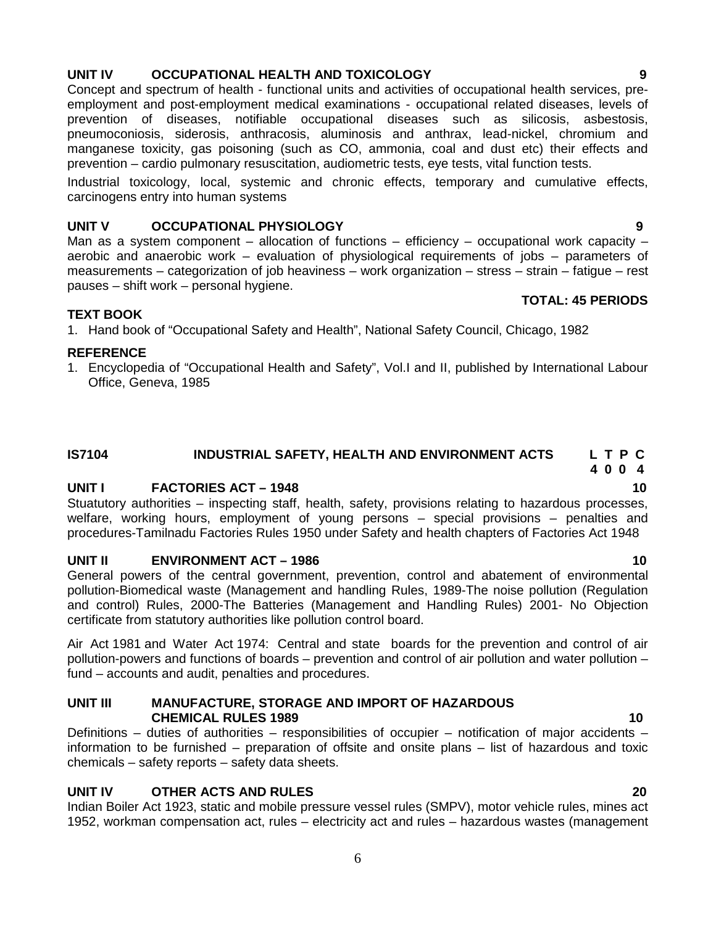### 6

#### **UNIT IV OCCUPATIONAL HEALTH AND TOXICOLOGY 9**

Concept and spectrum of health - functional units and activities of occupational health services, pre employment and post-employment medical examinations - occupational related diseases, levels of prevention of diseases, notifiable occupational diseases such as silicosis, asbestosis, pneumoconiosis, siderosis, anthracosis, aluminosis and anthrax, lead-nickel, chromium and manganese toxicity, gas poisoning (such as CO, ammonia, coal and dust etc) their effects and prevention – cardio pulmonary resuscitation, audiometric tests, eye tests, vital function tests.

Industrial toxicology, local, systemic and chronic effects, temporary and cumulative effects, carcinogens entry into human systems

#### **UNIT V OCCUPATIONAL PHYSIOLOGY 9**

Man as a system component – allocation of functions – efficiency – occupational work capacity – aerobic and anaerobic work – evaluation of physiological requirements of jobs – parameters of measurements – categorization of job heaviness – work organization – stress – strain – fatigue – rest pauses – shift work – personal hygiene.

#### **TEXT BOOK**

1. Hand book of "Occupational Safety and Health", National Safety Council, Chicago, 1982

#### **REFERENCE**

1. Encyclopedia of "Occupational Health and Safety", Vol.I and II, published by International Labour Office, Geneva, 1985

#### **IS7104 INDUSTRIAL SAFETY, HEALTH AND ENVIRONMENT ACTS L T P C**

#### **UNIT I FACTORIES ACT – 1948 10**

Stuatutory authorities – inspecting staff, health, safety, provisions relating to hazardous processes, welfare, working hours, employment of young persons – special provisions – penalties and procedures-Tamilnadu Factories Rules 1950 under Safety and health chapters of Factories Act 1948

#### **UNIT II ENVIRONMENT ACT – 1986 10**

General powers of the central government, prevention, control and abatement of environmental pollution-Biomedical waste (Management and handling Rules, 1989-The noise pollution (Regulation and control) Rules, 2000-The Batteries (Management and Handling Rules) 2001- No Objection certificate from statutory authorities like pollution control board.

Air Act 1981 and Water Act 1974: Central and state boards for the prevention and control of air pollution-powers and functions of boards – prevention and control of air pollution and water pollution – fund – accounts and audit, penalties and procedures.

#### **UNIT III MANUFACTURE, STORAGE AND IMPORT OF HAZARDOUS CHEMICAL RULES 1989 10**

Definitions – duties of authorities – responsibilities of occupier – notification of major accidents – information to be furnished – preparation of offsite and onsite plans – list of hazardous and toxic chemicals – safety reports – safety data sheets.

#### **UNIT IV OTHER ACTS AND RULES 20**

Indian Boiler Act 1923, static and mobile pressure vessel rules (SMPV), motor vehicle rules, mines act 1952, workman compensation act, rules – electricity act and rules – hazardous wastes (management

## **4 0 0 4**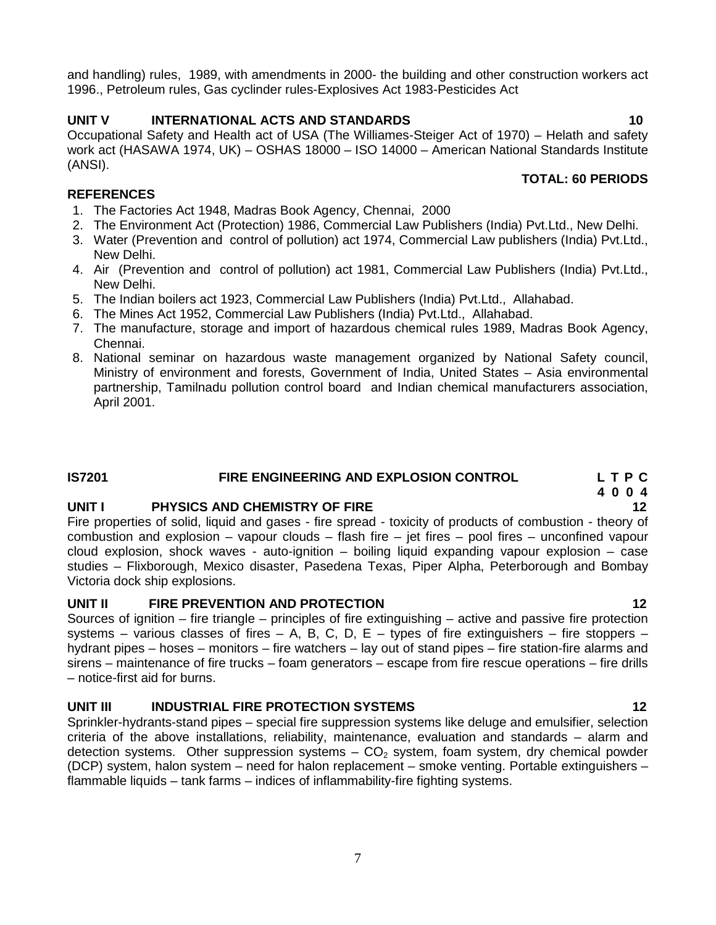and handling) rules, 1989, with amendments in 2000- the building and other construction workers act 1996., Petroleum rules, Gas cyclinder rules-Explosives Act 1983-Pesticides Act

#### **UNIT V INTERNATIONAL ACTS AND STANDARDS 10**

Occupational Safety and Health act of USA (The Williames-Steiger Act of 1970) – Helath and safety work act (HASAWA 1974, UK) – OSHAS 18000 – ISO 14000 – American National Standards Institute (ANSI).

#### **REFERENCES**

- 1. The Factories Act 1948, Madras Book Agency, Chennai, 2000
- 2. The Environment Act (Protection) 1986, Commercial Law Publishers (India) Pvt.Ltd., New Delhi.
- 3. Water (Prevention and control of pollution) act 1974, Commercial Law publishers (India) Pvt.Ltd., New Delhi.
- 4. Air (Prevention and control of pollution) act 1981, Commercial Law Publishers (India) Pvt.Ltd., New Delhi.
- 5. The Indian boilers act 1923, Commercial Law Publishers (India) Pvt.Ltd., Allahabad.
- 6. The Mines Act 1952, Commercial Law Publishers (India) Pvt.Ltd., Allahabad.
- 7. The manufacture, storage and import of hazardous chemical rules 1989, Madras Book Agency, Chennai.
- 8. National seminar on hazardous waste management organized by National Safety council, Ministry of environment and forests, Government of India, United States – Asia environmental partnership, Tamilnadu pollution control board and Indian chemical manufacturers association, April 2001.

#### **IS7201 FIRE ENGINEERING AND EXPLOSION CONTROL L T P C**

#### **UNIT I PHYSICS AND CHEMISTRY OF FIRE 12**

Fire properties of solid, liquid and gases - fire spread - toxicity of products of combustion - theory of combustion and explosion – vapour clouds – flash fire – jet fires – pool fires – unconfined vapour cloud explosion, shock waves - auto-ignition – boiling liquid expanding vapour explosion – case studies – Flixborough, Mexico disaster, Pasedena Texas, Piper Alpha, Peterborough and Bombay Victoria dock ship explosions.

#### **UNIT II FIRE PREVENTION AND PROTECTION 12**

Sources of ignition – fire triangle – principles of fire extinguishing – active and passive fire protection systems – various classes of fires – A, B, C, D, E – types of fire extinguishers – fire stoppers – hydrant pipes – hoses – monitors – fire watchers – lay out of stand pipes – fire station-fire alarms and sirens – maintenance of fire trucks – foam generators – escape from fire rescue operations – fire drills – notice-first aid for burns.

#### **UNIT III INDUSTRIAL FIRE PROTECTION SYSTEMS 12**

Sprinkler-hydrants-stand pipes – special fire suppression systems like deluge and emulsifier, selection criteria of the above installations, reliability, maintenance, evaluation and standards – alarm and detection systems. Other suppression systems  $-$  CO<sub>2</sub> system, foam system, dry chemical powder (DCP) system, halon system – need for halon replacement – smoke venting. Portable extinguishers – flammable liquids – tank farms – indices of inflammability-fire fighting systems.

# **4 0 0 4**

## **TOTAL: 60 PERIODS**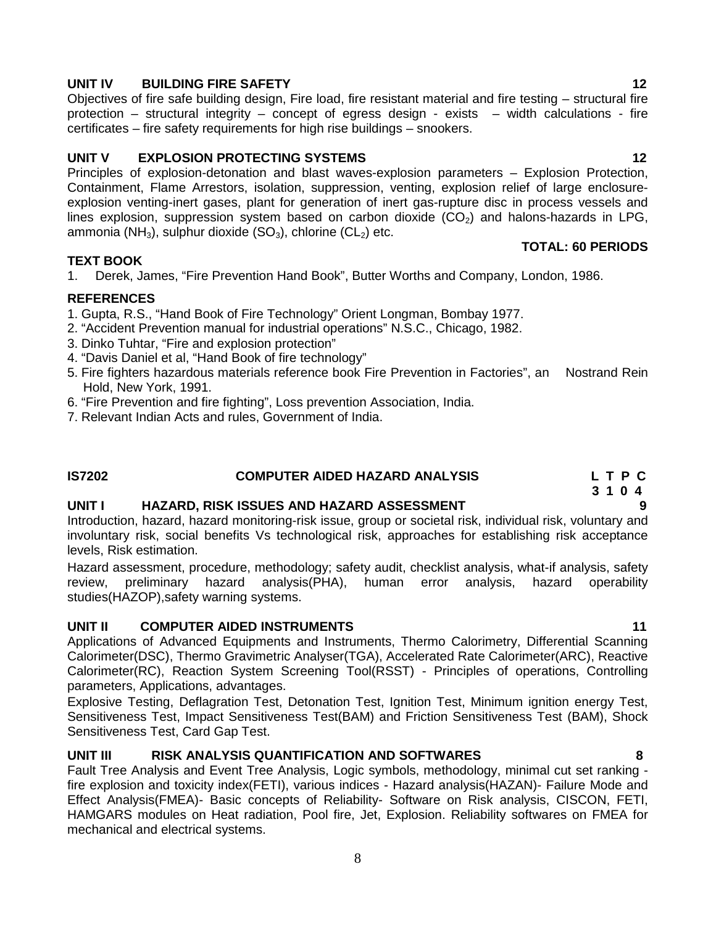## Principles of explosion-detonation and blast waves-explosion parameters – Explosion Protection,

Containment, Flame Arrestors, isolation, suppression, venting, explosion relief of large enclosure explosion venting-inert gases, plant for generation of inert gas-rupture disc in process vessels and lines explosion, suppression system based on carbon dioxide  $(CO<sub>2</sub>)$  and halons-hazards in LPG, ammonia (NH<sub>3</sub>), sulphur dioxide (SO<sub>3</sub>), chlorine (CL<sub>2</sub>) etc.

#### **TEXT BOOK**

1. Derek, James, "Fire Prevention Hand Book", Butter Worths and Company, London, 1986.

#### **REFERENCES**

- 1. Gupta, R.S., "Hand Book of Fire Technology" Orient Longman, Bombay 1977.
- 2. "Accident Prevention manual for industrial operations" N.S.C., Chicago, 1982.
- 3. Dinko Tuhtar, "Fire and explosion protection"
- 4. "Davis Daniel et al, "Hand Book of fire technology"
- 5. Fire fighters hazardous materials reference book Fire Prevention in Factories", an Nostrand Rein Hold, New York, 1991.
- 6. "Fire Prevention and fire fighting", Loss prevention Association, India.
- 7. Relevant Indian Acts and rules, Government of India.

#### **IS7202 COMPUTER AIDED HAZARD ANALYSIS L T P C**

### **UNIT I HAZARD, RISK ISSUES AND HAZARD ASSESSMENT 9**

Introduction, hazard, hazard monitoring-risk issue, group or societal risk, individual risk, voluntary and involuntary risk, social benefits Vs technological risk, approaches for establishing risk acceptance levels, Risk estimation.

Hazard assessment, procedure, methodology; safety audit, checklist analysis, what-if analysis, safety review, preliminary hazard analysis(PHA), human error analysis, hazard operability studies(HAZOP),safety warning systems.

### **UNIT II COMPUTER AIDED INSTRUMENTS 11**

Applications of Advanced Equipments and Instruments, Thermo Calorimetry, Differential Scanning Calorimeter(DSC), Thermo Gravimetric Analyser(TGA), Accelerated Rate Calorimeter(ARC), Reactive Calorimeter(RC), Reaction System Screening Tool(RSST) - Principles of operations, Controlling parameters, Applications, advantages.

Explosive Testing, Deflagration Test, Detonation Test, Ignition Test, Minimum ignition energy Test, Sensitiveness Test, Impact Sensitiveness Test(BAM) and Friction Sensitiveness Test (BAM), Shock Sensitiveness Test, Card Gap Test.

### **UNIT III RISK ANALYSIS QUANTIFICATION AND SOFTWARES 8**

Fault Tree Analysis and Event Tree Analysis, Logic symbols, methodology, minimal cut set ranking fire explosion and toxicity index(FETI), various indices - Hazard analysis(HAZAN)- Failure Mode and Effect Analysis(FMEA)- Basic concepts of Reliability- Software on Risk analysis, CISCON, FETI, HAMGARS modules on Heat radiation, Pool fire, Jet, Explosion. Reliability softwares on FMEA for mechanical and electrical systems.

#### **UNIT IV BUILDING FIRE SAFETY 12**

Objectives of fire safe building design, Fire load, fire resistant material and fire testing – structural fire protection – structural integrity – concept of egress design - exists – width calculations - fire certificates – fire safety requirements for high rise buildings – snookers.

### **UNIT V EXPLOSION PROTECTING SYSTEMS 12**

### **3 1 0 4**

**TOTAL: 60 PERIODS**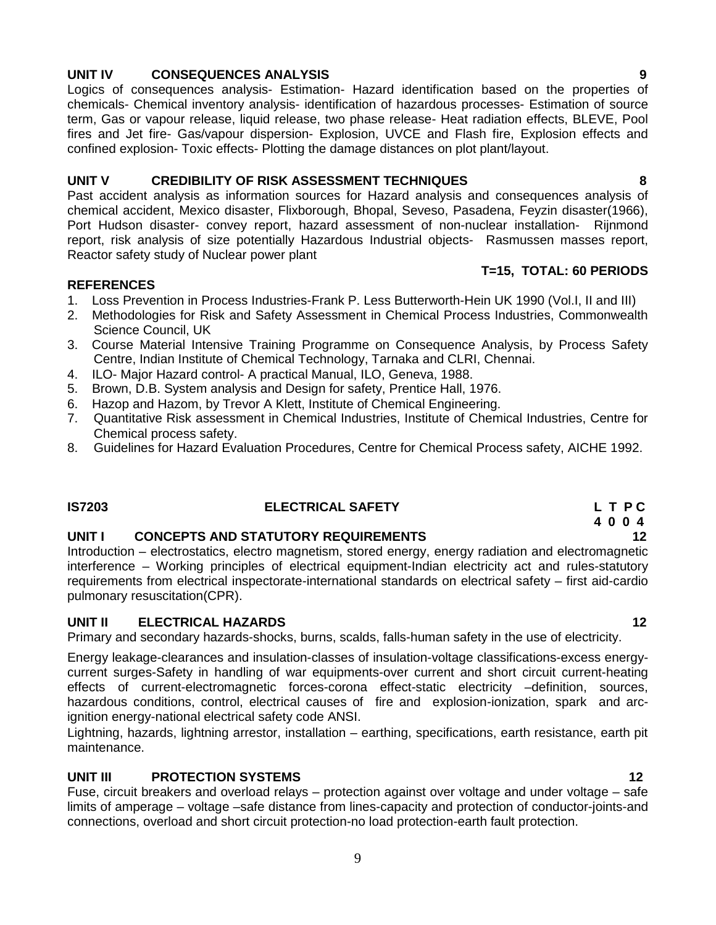- 1. Loss Prevention in Process Industries-Frank P. Less Butterworth-Hein UK 1990 (Vol.I, II and III)
- 2. Methodologies for Risk and Safety Assessment in Chemical Process Industries, Commonwealth Science Council, UK
- 3. Course Material Intensive Training Programme on Consequence Analysis, by Process Safety Centre, Indian Institute of Chemical Technology, Tarnaka and CLRI, Chennai.
- 4. ILO- Major Hazard control- A practical Manual, ILO, Geneva, 1988.
- 5. Brown, D.B. System analysis and Design for safety, Prentice Hall, 1976.
- 6. Hazop and Hazom, by Trevor A Klett, Institute of Chemical Engineering.
- 7. Quantitative Risk assessment in Chemical Industries, Institute of Chemical Industries, Centre for Chemical process safety.
- 8. Guidelines for Hazard Evaluation Procedures, Centre for Chemical Process safety, AICHE 1992.

**IS7203 ELECTRICAL SAFETY L T P C**

#### **UNIT I CONCEPTS AND STATUTORY REQUIREMENTS 12**

Introduction – electrostatics, electro magnetism, stored energy, energy radiation and electromagnetic interference – Working principles of electrical equipment-Indian electricity act and rules-statutory requirements from electrical inspectorate-international standards on electrical safety – first aid-cardio pulmonary resuscitation(CPR).

#### **UNIT II ELECTRICAL HAZARDS 12**

Primary and secondary hazards-shocks, burns, scalds, falls-human safety in the use of electricity.

Energy leakage-clearances and insulation-classes of insulation-voltage classifications-excess energy current surges-Safety in handling of war equipments-over current and short circuit current-heating effects of current-electromagnetic forces-corona effect-static electricity –definition, sources, hazardous conditions, control, electrical causes of fire and explosion-ionization, spark and arcignition energy-national electrical safety code ANSI.

Lightning, hazards, lightning arrestor, installation – earthing, specifications, earth resistance, earth pit maintenance.

#### **UNIT III PROTECTION SYSTEMS 12**

Fuse, circuit breakers and overload relays – protection against over voltage and under voltage – safe limits of amperage – voltage –safe distance from lines-capacity and protection of conductor-joints-and connections, overload and short circuit protection-no load protection-earth fault protection.

#### 9

#### **UNIT IV CONSEQUENCES ANALYSIS 9**

**REFERENCES**

Logics of consequences analysis- Estimation- Hazard identification based on the properties of chemicals- Chemical inventory analysis- identification of hazardous processes- Estimation of source term, Gas or vapour release, liquid release, two phase release- Heat radiation effects, BLEVE, Pool fires and Jet fire- Gas/vapour dispersion- Explosion, UVCE and Flash fire, Explosion effects and confined explosion- Toxic effects- Plotting the damage distances on plot plant/layout.

Past accident analysis as information sources for Hazard analysis and consequences analysis of chemical accident, Mexico disaster, Flixborough, Bhopal, Seveso, Pasadena, Feyzin disaster(1966), Port Hudson disaster- convey report, hazard assessment of non-nuclear installation- Rijnmond

#### **UNIT V CREDIBILITY OF RISK ASSESSMENT TECHNIQUES 8**

report, risk analysis of size potentially Hazardous Industrial objects- Rasmussen masses report, Reactor safety study of Nuclear power plant **T=15, TOTAL: 60 PERIODS**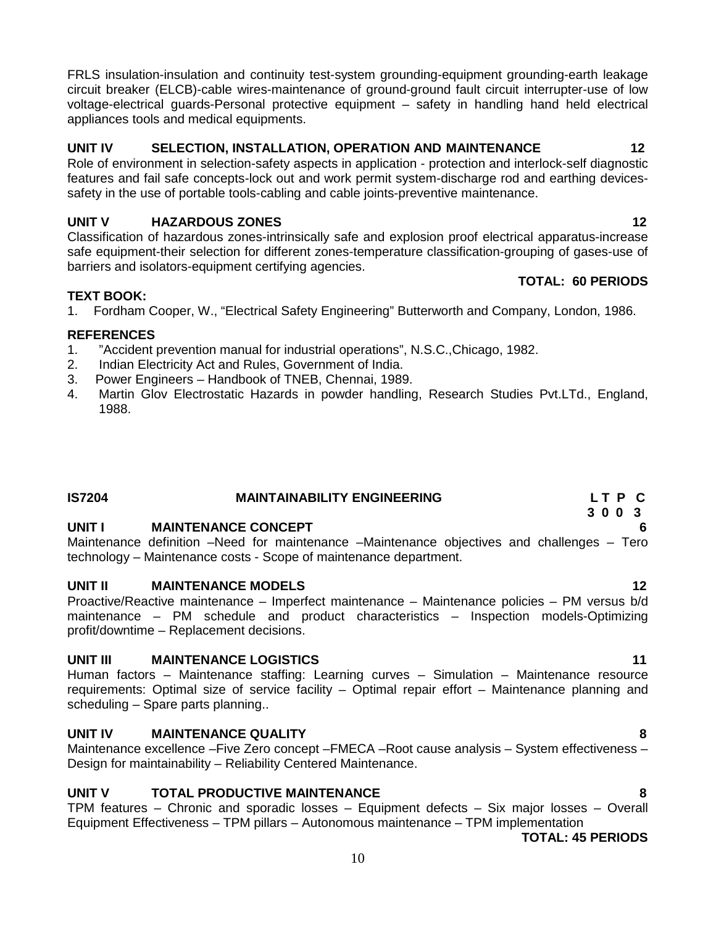FRLS insulation-insulation and continuity test-system grounding-equipment grounding-earth leakage circuit breaker (ELCB)-cable wires-maintenance of ground-ground fault circuit interrupter-use of low voltage-electrical guards-Personal protective equipment – safety in handling hand held electrical appliances tools and medical equipments.

### **UNIT IV SELECTION, INSTALLATION, OPERATION AND MAINTENANCE 12**

Role of environment in selection-safety aspects in application - protection and interlock-self diagnostic features and fail safe concepts-lock out and work permit system-discharge rod and earthing devices safety in the use of portable tools-cabling and cable joints-preventive maintenance.

#### **UNIT V HAZARDOUS ZONES 12**

Classification of hazardous zones-intrinsically safe and explosion proof electrical apparatus-increase safe equipment-their selection for different zones-temperature classification-grouping of gases-use of barriers and isolators-equipment certifying agencies.

#### **TEXT BOOK:**

1. Fordham Cooper, W., "Electrical Safety Engineering" Butterworth and Company, London, 1986.

#### **REFERENCES**

- 1. "Accident prevention manual for industrial operations", N.S.C.,Chicago, 1982.
- 2. Indian Electricity Act and Rules, Government of India.
- 3. Power Engineers Handbook of TNEB, Chennai, 1989.
- 4. Martin Glov Electrostatic Hazards in powder handling, Research Studies Pvt.LTd., England, 1988.

#### **IS7204 MAINTAINABILITY ENGINEERING L T P C**

#### **UNIT I MAINTENANCE CONCEPT 6**

Maintenance definition –Need for maintenance –Maintenance objectives and challenges – Tero technology – Maintenance costs - Scope of maintenance department.

#### **UNIT II MAINTENANCE MODELS 12**

Proactive/Reactive maintenance – Imperfect maintenance – Maintenance policies – PM versus b/d maintenance – PM schedule and product characteristics – Inspection models-Optimizing profit/downtime – Replacement decisions.

#### **UNIT III MAINTENANCE LOGISTICS 11**

Human factors – Maintenance staffing: Learning curves – Simulation – Maintenance resource requirements: Optimal size of service facility – Optimal repair effort – Maintenance planning and scheduling – Spare parts planning..

#### **UNIT IV MAINTENANCE QUALITY 8**

Maintenance excellence –Five Zero concept –FMECA –Root cause analysis – System effectiveness – Design for maintainability – Reliability Centered Maintenance.

#### **UNIT V TOTAL PRODUCTIVE MAINTENANCE 8**

TPM features – Chronic and sporadic losses – Equipment defects – Six major losses – Overall Equipment Effectiveness – TPM pillars – Autonomous maintenance – TPM implementation

**TOTAL: 45 PERIODS**

#### **TOTAL: 60 PERIODS**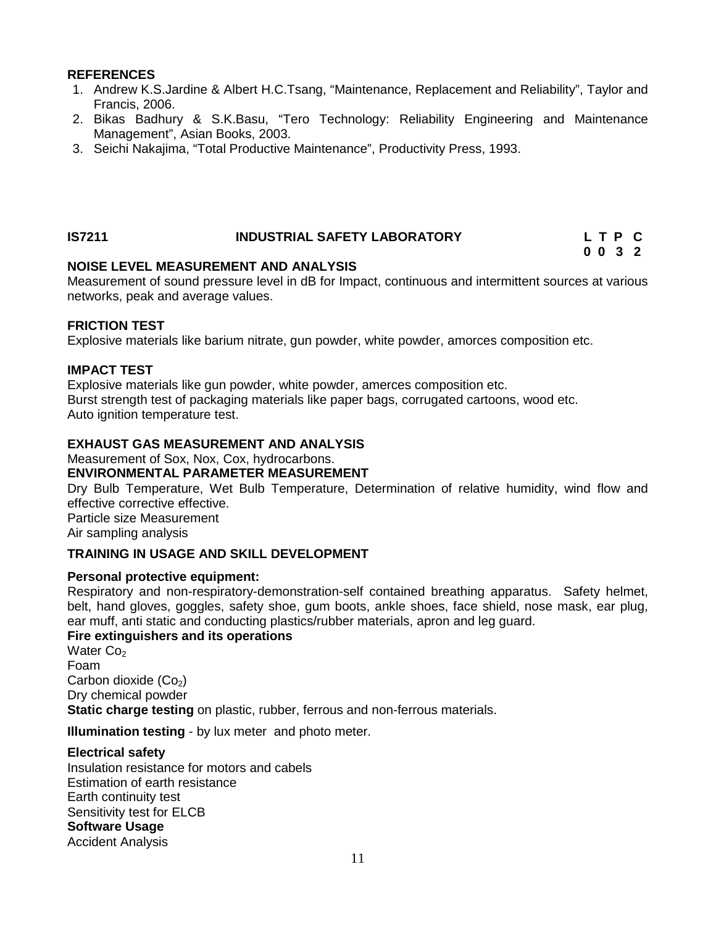#### **REFERENCES**

- 1. Andrew K.S.Jardine & Albert H.C.Tsang, "Maintenance, Replacement and Reliability", Taylor and Francis, 2006.
- 2. Bikas Badhury & S.K.Basu, "Tero Technology: Reliability Engineering and Maintenance Management", Asian Books, 2003.
- 3. Seichi Nakajima, "Total Productive Maintenance", Productivity Press, 1993.

#### **IS7211 INDUSTRIAL SAFETY LABORATORY L T P C**

#### **NOISE LEVEL MEASUREMENT AND ANALYSIS**

Measurement of sound pressure level in dB for Impact, continuous and intermittent sources at various networks, peak and average values.

**0 0 3 2**

#### **FRICTION TEST**

Explosive materials like barium nitrate, gun powder, white powder, amorces composition etc.

#### **IMPACT TEST**

Explosive materials like gun powder, white powder, amerces composition etc. Burst strength test of packaging materials like paper bags, corrugated cartoons, wood etc. Auto ignition temperature test.

#### **EXHAUST GAS MEASUREMENT AND ANALYSIS**

Measurement of Sox, Nox, Cox, hydrocarbons.

#### **ENVIRONMENTAL PARAMETER MEASUREMENT**

Dry Bulb Temperature, Wet Bulb Temperature, Determination of relative humidity, wind flow and effective corrective effective. Particle size Measurement

Air sampling analysis

#### **TRAINING IN USAGE AND SKILL DEVELOPMENT**

#### **Personal protective equipment:**

Respiratory and non-respiratory-demonstration-self contained breathing apparatus. Safety helmet, belt, hand gloves, goggles, safety shoe, gum boots, ankle shoes, face shield, nose mask, ear plug, ear muff, anti static and conducting plastics/rubber materials, apron and leg guard.

#### **Fire extinguishers and its operations**

Water Co<sub>2</sub> Foam Carbon dioxide  $(Co<sub>2</sub>)$ Dry chemical powder **Static charge testing** on plastic, rubber, ferrous and non-ferrous materials.

**Illumination testing** - by lux meter and photo meter.

#### **Electrical safety**

Insulation resistance for motors and cabels Estimation of earth resistance Earth continuity test Sensitivity test for ELCB **Software Usage** Accident Analysis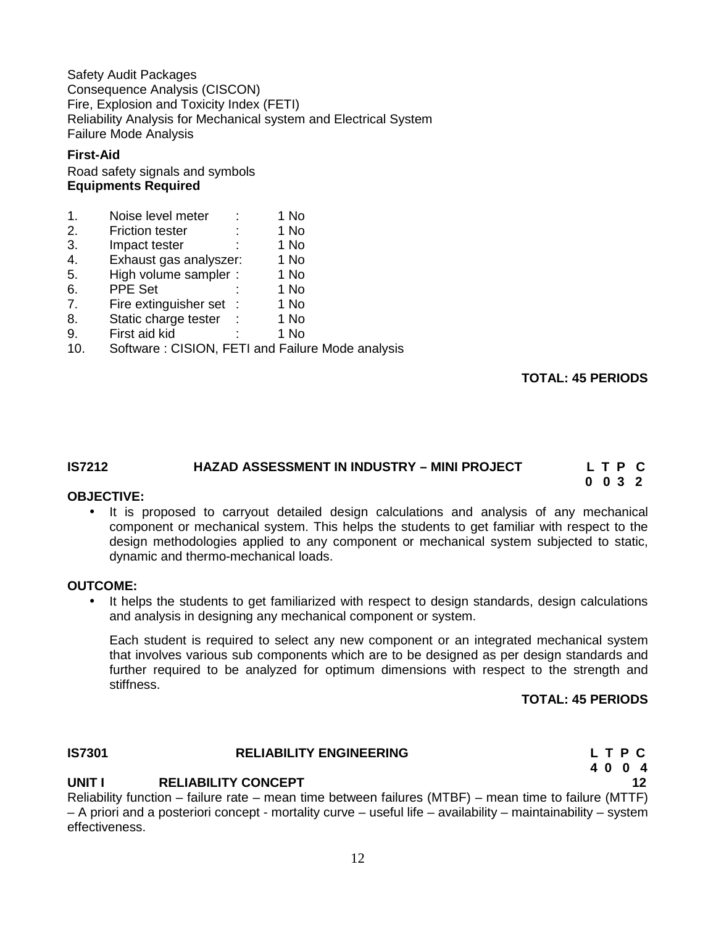Safety Audit Packages Consequence Analysis (CISCON) Fire, Explosion and Toxicity Index (FETI) Reliability Analysis for Mechanical system and Electrical System Failure Mode Analysis

#### **First-Aid**

#### Road safety signals and symbols **Equipments Required**

| 1 No<br>Noise level meter |  |
|---------------------------|--|
|---------------------------|--|

- 2. Friction tester : 1 No
- 3. Impact tester : 1 No 4. Exhaust gas analyszer: 1 No
- 5. High volume sampler : 1 No
- 6. PPE Set : 1 No
- 7. Fire extinguisher set : 1 No
- 
- 8. Static charge tester : 1 No<br>9. First aid kid : 1 No First aid kid
- 10. Software : CISION, FETI and Failure Mode analysis

#### **TOTAL: 45 PERIODS**

**0 0 3 2**

#### **IS7212 HAZAD ASSESSMENT IN INDUSTRY –MINI PROJECT L T P C**

#### **OBJECTIVE:**

• It is proposed to carryout detailed design calculations and analysis of any mechanical component or mechanical system. This helps the students to get familiar with respect to the design methodologies applied to any component or mechanical system subjected to static, dynamic and thermo-mechanical loads.

#### **OUTCOME:**

 It helps the students to get familiarized with respect to design standards, design calculations and analysis in designing any mechanical component or system.

Each student is required to select any new component or an integrated mechanical system that involves various sub components which are to be designed as per design standards and further required to be analyzed for optimum dimensions with respect to the strength and stiffness.

#### **TOTAL: 45 PERIODS**

**4 0 0 4**

#### **IS7301 RELIABILITY ENGINEERING L T P C**

### **UNIT I RELIABILITY CONCEPT 12**

Reliability function – failure rate – mean time between failures (MTBF) – mean time to failure (MTTF) – A priori and a posteriori concept - mortality curve – useful life – availability – maintainability – system effectiveness.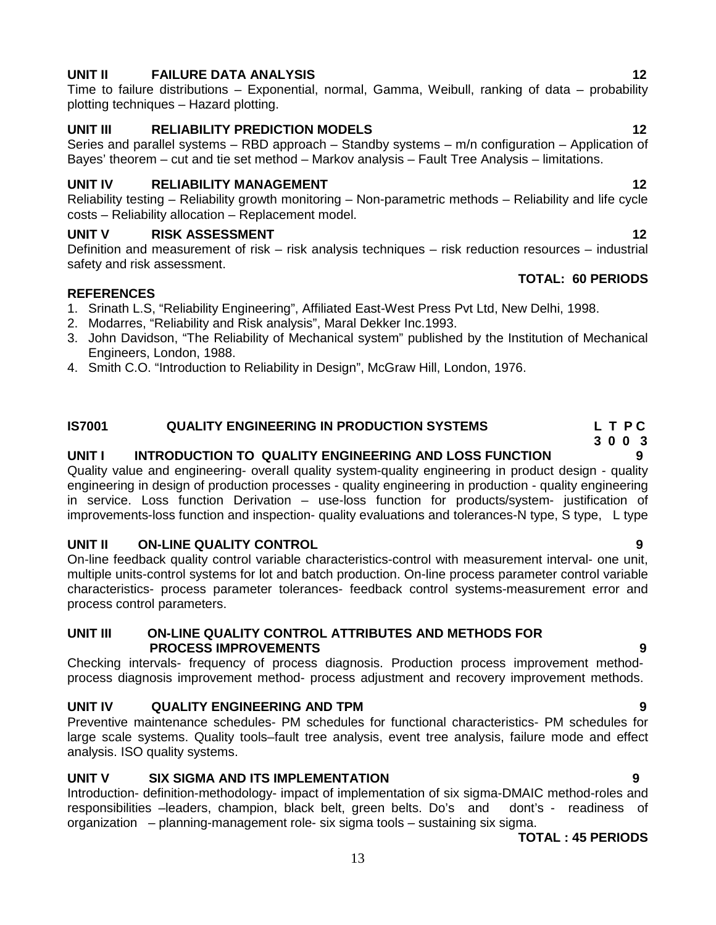#### 13

#### **UNIT II FAILURE DATA ANALYSIS 12**

Time to failure distributions – Exponential, normal, Gamma, Weibull, ranking of data – probability plotting techniques – Hazard plotting.

#### **UNIT III RELIABILITY PREDICTION MODELS 12**

Series and parallel systems – RBD approach – Standby systems – m/n configuration – Application of Bayes' theorem – cut and tie set method – Markov analysis – Fault Tree Analysis – limitations.

#### **UNIT IV RELIABILITY MANAGEMENT 12**

Reliability testing – Reliability growth monitoring – Non-parametric methods – Reliability and life cycle costs – Reliability allocation – Replacement model.

#### **UNIT V RISK ASSESSMENT 12**

Definition and measurement of risk – risk analysis techniques – risk reduction resources – industrial safety and risk assessment.

#### **REFERENCES**

- 1. Srinath L.S, "Reliability Engineering", Affiliated East-West Press Pvt Ltd, New Delhi, 1998.
- 2. Modarres, "Reliability and Risk analysis", Maral Dekker Inc.1993.
- 3. John Davidson, "The Reliability of Mechanical system" published by the Institution of Mechanical Engineers, London, 1988.
- 4. Smith C.O. "Introduction to Reliability in Design", McGraw Hill, London, 1976.

### **IS7001 QUALITY ENGINEERING IN PRODUCTION SYSTEMS L T P C**

#### **UNIT I INTRODUCTION TO QUALITY ENGINEERING AND LOSS FUNCTION 9**

Quality value and engineering- overall quality system-quality engineering in product design - quality engineering in design of production processes - quality engineering in production - quality engineering in service. Loss function Derivation – use-loss function for products/system- justification of improvements-loss function and inspection- quality evaluations and tolerances-N type, S type, L type

#### **UNIT II ON-LINE QUALITY CONTROL 9**

On-line feedback quality control variable characteristics-control with measurement interval- one unit, multiple units-control systems for lot and batch production. On-line process parameter control variable characteristics- process parameter tolerances- feedback control systems-measurement error and process control parameters.

#### **UNIT III ON-LINE QUALITY CONTROL ATTRIBUTES AND METHODS FOR PROCESS IMPROVEMENTS 9**

Checking intervals- frequency of process diagnosis. Production process improvement method process diagnosis improvement method- process adjustment and recovery improvement methods.

### **UNIT IV QUALITY ENGINEERING AND TPM 9**

Preventive maintenance schedules- PM schedules for functional characteristics- PM schedules for large scale systems. Quality tools–fault tree analysis, event tree analysis, failure mode and effect analysis. ISO quality systems.

#### **UNIT V SIX SIGMA AND ITS IMPLEMENTATION 9**

Introduction- definition-methodology- impact of implementation of six sigma-DMAIC method-roles and responsibilities –leaders, champion, black belt, green belts. Do's and dont's - readiness of organization – planning-management role- six sigma tools – sustaining six sigma.

**TOTAL : 45 PERIODS**

#### **TOTAL: 60 PERIODS**

- **3 0 0 3**
-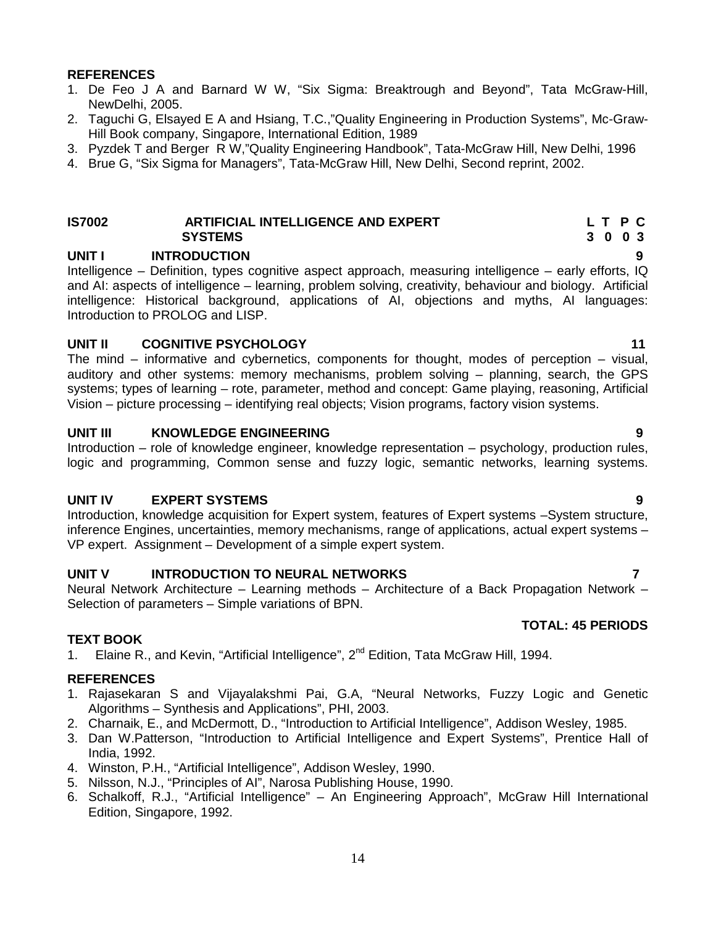#### **REFERENCES**

- 1. De Feo J A and Barnard W W, "Six Sigma: Breaktrough and Beyond", Tata McGraw-Hill, NewDelhi, 2005.
- 2. Taguchi G, Elsayed E A and Hsiang, T.C.,"Quality Engineering in Production Systems", Mc-Graw- Hill Book company, Singapore, International Edition, 1989
- 3. Pyzdek T and Berger R W,"Quality Engineering Handbook", Tata-McGraw Hill, New Delhi, 1996
- 4. Brue G, "Six Sigma for Managers", Tata-McGraw Hill, New Delhi, Second reprint, 2002.

#### **IS7002 ARTIFICIAL INTELLIGENCE AND EXPERT L T P C SYSTEMS 3 0 0 3**

#### **UNIT I INTRODUCTION 9**

Intelligence – Definition, types cognitive aspect approach, measuring intelligence – early efforts, IQ and AI: aspects of intelligence – learning, problem solving, creativity, behaviour and biology. Artificial intelligence: Historical background, applications of AI, objections and myths, AI languages: Introduction to PROLOG and LISP.

#### **UNIT II COGNITIVE PSYCHOLOGY 11**

The mind – informative and cybernetics, components for thought, modes of perception – visual, auditory and other systems: memory mechanisms, problem solving – planning, search, the GPS systems; types of learning – rote, parameter, method and concept: Game playing, reasoning, Artificial Vision – picture processing – identifying real objects; Vision programs, factory vision systems.

#### **UNIT III KNOWLEDGE ENGINEERING 9**

Introduction – role of knowledge engineer, knowledge representation – psychology, production rules, logic and programming, Common sense and fuzzy logic, semantic networks, learning systems.

#### **UNIT IV EXPERT SYSTEMS 9**

Introduction, knowledge acquisition for Expert system, features of Expert systems –System structure, inference Engines, uncertainties, memory mechanisms, range of applications, actual expert systems – VP expert. Assignment – Development of a simple expert system.

#### **UNIT V INTRODUCTION TO NEURAL NETWORKS 7**

Neural Network Architecture – Learning methods – Architecture of a Back Propagation Network – Selection of parameters – Simple variations of BPN.

#### **TEXT BOOK**

1. Elaine R., and Kevin, "Artificial Intelligence", 2<sup>nd</sup> Edition, Tata McGraw Hill, 1994.

#### **REFERENCES**

- 1. Rajasekaran S and Vijayalakshmi Pai, G.A, "Neural Networks, Fuzzy Logic and Genetic Algorithms – Synthesis and Applications", PHI, 2003.
- 2. Charnaik, E., and McDermott, D., "Introduction to Artificial Intelligence", Addison Wesley, 1985.
- 3. Dan W.Patterson, "Introduction to Artificial Intelligence and Expert Systems", Prentice Hall of India, 1992.
- 4. Winston, P.H., "Artificial Intelligence", Addison Wesley, 1990.
- 5. Nilsson, N.J., "Principles of AI", Narosa Publishing House, 1990.
- 6. Schalkoff, R.J., "Artificial Intelligence" An Engineering Approach", McGraw Hill International Edition, Singapore, 1992.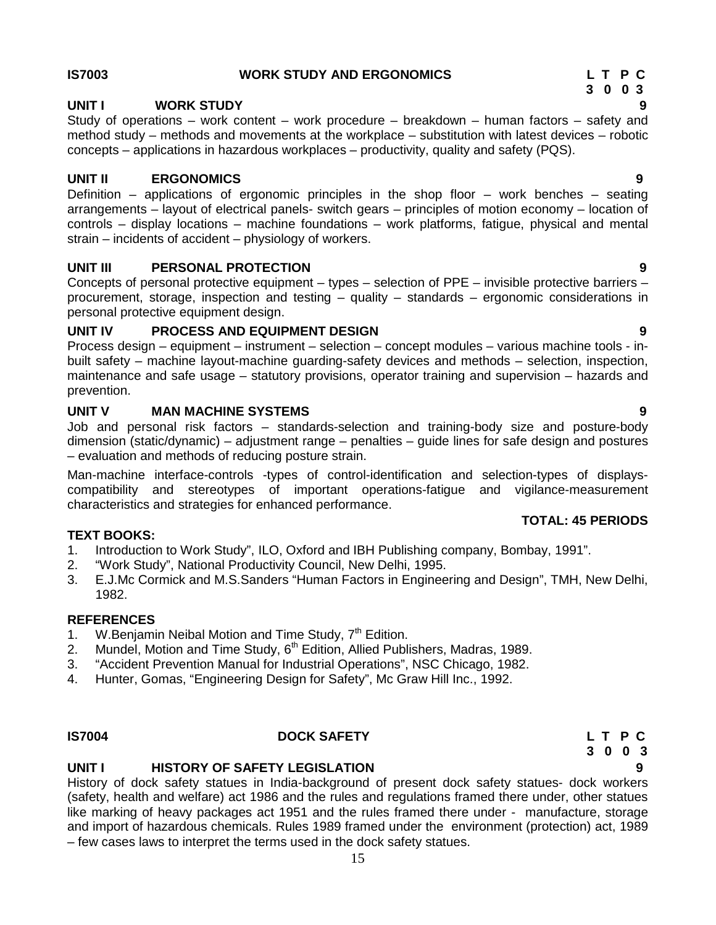#### **IS7003 WORK STUDY AND ERGONOMICS L T P C**

#### **UNIT I WORK STUDY 9**

Study of operations – work content – work procedure – breakdown – human factors – safety and method study – methods and movements at the workplace – substitution with latest devices – robotic concepts – applications in hazardous workplaces – productivity, quality and safety (PQS).

#### **UNIT II ERGONOMICS 9**

Definition – applications of ergonomic principles in the shop floor – work benches – seating arrangements – layout of electrical panels- switch gears – principles of motion economy – location of controls – display locations – machine foundations – work platforms, fatigue, physical and mental strain – incidents of accident – physiology of workers.

#### **UNIT III PERSONAL PROTECTION 9**

Concepts of personal protective equipment – types – selection of PPE – invisible protective barriers – procurement, storage, inspection and testing – quality – standards – ergonomic considerations in personal protective equipment design.

#### **UNIT IV PROCESS AND EQUIPMENT DESIGN 9**

Process design – equipment – instrument – selection – concept modules – various machine tools - in built safety – machine layout-machine guarding-safety devices and methods – selection, inspection, maintenance and safe usage – statutory provisions, operator training and supervision – hazards and prevention.

#### **UNIT V MAN MACHINE SYSTEMS 9**

Job and personal risk factors – standards-selection and training-body size and posture-body dimension (static/dynamic) – adjustment range – penalties – guide lines for safe design and postures – evaluation and methods of reducing posture strain.

Man-machine interface-controls -types of control-identification and selection-types of displays compatibility and stereotypes of important operations-fatigue and vigilance-measurement characteristics and strategies for enhanced performance.

#### **TEXT BOOKS:**

- 1. Introduction to Work Study", ILO, Oxford and IBH Publishing company, Bombay, 1991".
- 2. "Work Study", National Productivity Council, New Delhi, 1995.
- 3. E.J.Mc Cormick and M.S.Sanders "Human Factors in Engineering and Design", TMH, New Delhi, 1982.

#### **REFERENCES**

- 1. W.Benjamin Neibal Motion and Time Study, 7<sup>th</sup> Edition.
- 2. Mundel, Motion and Time Study,  $6<sup>th</sup>$  Edition, Allied Publishers, Madras, 1989.
- 3. "Accident Prevention Manual for Industrial Operations", NSC Chicago, 1982.
- 4. Hunter, Gomas, "Engineering Design for Safety", Mc Graw Hill Inc., 1992.

#### **IS7004 DOCK SAFETY L T P C**

#### **UNIT I HISTORY OF SAFETY LEGISLATION 9**

History of dock safety statues in India-background of present dock safety statues- dock workers (safety, health and welfare) act 1986 and the rules and regulations framed there under, other statues like marking of heavy packages act 1951 and the rules framed there under - manufacture, storage and import of hazardous chemicals. Rules 1989 framed under the environment (protection) act, 1989 – few cases laws to interpret the terms used in the dock safety statues.

# **3 0 0 3**

# **3 0 0 3**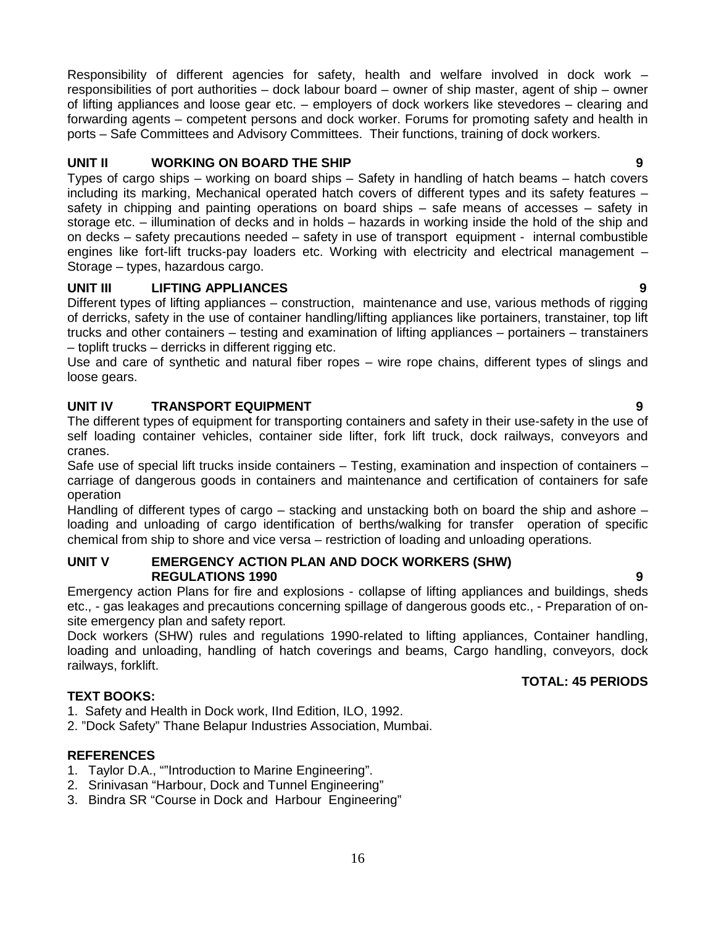Responsibility of different agencies for safety, health and welfare involved in dock work – responsibilities of port authorities – dock labour board – owner of ship master, agent of ship – owner of lifting appliances and loose gear etc. – employers of dock workers like stevedores – clearing and forwarding agents – competent persons and dock worker. Forums for promoting safety and health in ports – Safe Committees and Advisory Committees. Their functions, training of dock workers.

#### **UNIT II WORKING ON BOARD THE SHIP 9**

Types of cargo ships – working on board ships – Safety in handling of hatch beams – hatch covers including its marking, Mechanical operated hatch covers of different types and its safety features – safety in chipping and painting operations on board ships – safe means of accesses – safety in storage etc. – illumination of decks and in holds – hazards in working inside the hold of the ship and on decks – safety precautions needed – safety in use of transport equipment - internal combustible engines like fort-lift trucks-pay loaders etc. Working with electricity and electrical management – Storage – types, hazardous cargo.

#### **UNIT III LIFTING APPLIANCES 9**

Different types of lifting appliances – construction, maintenance and use, various methods of rigging of derricks, safety in the use of container handling/lifting appliances like portainers, transtainer, top lift trucks and other containers – testing and examination of lifting appliances – portainers – transtainers – toplift trucks – derricks in different rigging etc.

Use and care of synthetic and natural fiber ropes – wire rope chains, different types of slings and loose gears.

#### **UNIT IV TRANSPORT EQUIPMENT 9**

The different types of equipment for transporting containers and safety in their use-safety in the use of self loading container vehicles, container side lifter, fork lift truck, dock railways, conveyors and cranes.

Safe use of special lift trucks inside containers – Testing, examination and inspection of containers – carriage of dangerous goods in containers and maintenance and certification of containers for safe operation

Handling of different types of cargo – stacking and unstacking both on board the ship and ashore – loading and unloading of cargo identification of berths/walking for transfer operation of specific chemical from ship to shore and vice versa – restriction of loading and unloading operations.

#### **UNIT V EMERGENCY ACTION PLAN AND DOCK WORKERS (SHW) REGULATIONS 1990 9**

Emergency action Plans for fire and explosions - collapse of lifting appliances and buildings, sheds etc., - gas leakages and precautions concerning spillage of dangerous goods etc., - Preparation of on site emergency plan and safety report.

Dock workers (SHW) rules and regulations 1990-related to lifting appliances, Container handling, loading and unloading, handling of hatch coverings and beams, Cargo handling, conveyors, dock railways, forklift.

#### **TOTAL: 45 PERIODS**

#### **TEXT BOOKS:**

1. Safety and Health in Dock work, IInd Edition, ILO, 1992.

2. "Dock Safety" Thane Belapur Industries Association, Mumbai.

#### **REFERENCES**

- 1. Taylor D.A., ""Introduction to Marine Engineering".
- 2. Srinivasan "Harbour, Dock and Tunnel Engineering"
- 3. Bindra SR "Course in Dock and Harbour Engineering"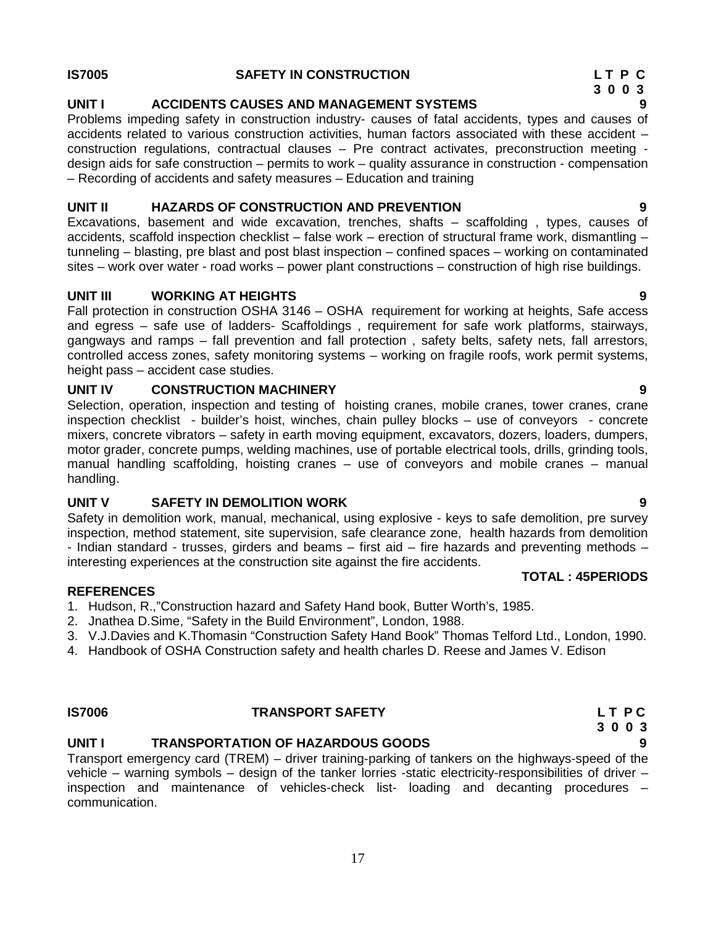#### **IS7005 SAFETY IN CONSTRUCTION L T P C**

#### **UNIT I ACCIDENTS CAUSES AND MANAGEMENT SYSTEMS 9**

Problems impeding safety in construction industry- causes of fatal accidents, types and causes of accidents related to various construction activities, human factors associated with these accident – construction regulations, contractual clauses – Pre contract activates, preconstruction meeting design aids for safe construction – permits to work – quality assurance in construction - compensation – Recording of accidents and safety measures – Education and training

#### **UNIT II HAZARDS OF CONSTRUCTION AND PREVENTION 9**

Excavations, basement and wide excavation, trenches, shafts – scaffolding , types, causes of accidents, scaffold inspection checklist – false work – erection of structural frame work, dismantling – tunneling – blasting, pre blast and post blast inspection – confined spaces – working on contaminated sites – work over water - road works – power plant constructions – construction of high rise buildings.

#### **UNIT III WORKING AT HEIGHTS 9**

Fall protection in construction OSHA 3146 – OSHA requirement for working at heights, Safe access and egress – safe use of ladders- Scaffoldings , requirement for safe work platforms, stairways, gangways and ramps – fall prevention and fall protection , safety belts, safety nets, fall arrestors, controlled access zones, safety monitoring systems – working on fragile roofs, work permit systems, height pass – accident case studies.

#### **UNIT IV CONSTRUCTION MACHINERY 9**

Selection, operation, inspection and testing of hoisting cranes, mobile cranes, tower cranes, crane inspection checklist - builder's hoist, winches, chain pulley blocks – use of conveyors - concrete mixers, concrete vibrators – safety in earth moving equipment, excavators, dozers, loaders, dumpers, motor grader, concrete pumps, welding machines, use of portable electrical tools, drills, grinding tools, manual handling scaffolding, hoisting cranes – use of conveyors and mobile cranes – manual handling.

#### **UNIT V SAFETY IN DEMOLITION WORK 9**

Safety in demolition work, manual, mechanical, using explosive - keys to safe demolition, pre survey inspection, method statement, site supervision, safe clearance zone, health hazards from demolition - Indian standard - trusses, girders and beams – first aid – fire hazards and preventing methods – interesting experiences at the construction site against the fire accidents.

#### **REFERENCES**

- 1. Hudson, R.,"Construction hazard and Safety Hand book, Butter Worth's, 1985.
- 2. Jnathea D.Sime, "Safety in the Build Environment", London, 1988.
- 3. V.J.Davies and K.Thomasin "Construction Safety Hand Book" Thomas Telford Ltd., London, 1990.
- 4. Handbook of OSHA Construction safety and health charles D. Reese and James V. Edison

### **IS7006 TRANSPORT SAFETY L T P C**

#### **UNIT I TRANSPORTATION OF HAZARDOUS GOODS 9**

Transport emergency card (TREM) – driver training-parking of tankers on the highways-speed of the vehicle – warning symbols – design of the tanker lorries -static electricity-responsibilities of driver – inspection and maintenance of vehicles-check list- loading and decanting procedures – communication.

**3 0 0 3**

- 
- 

**3 0 0 3**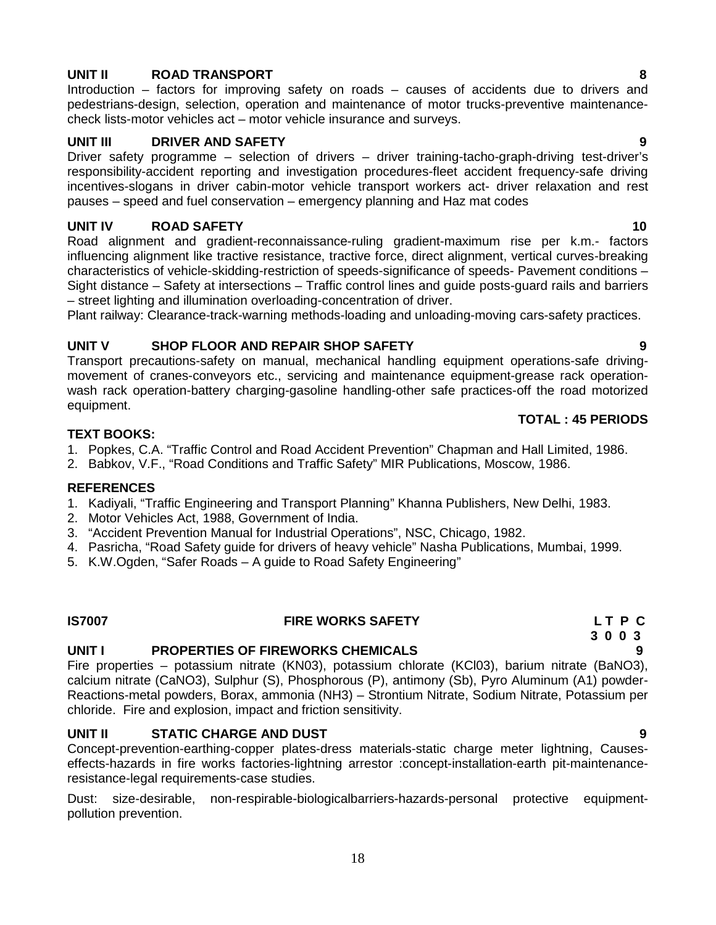#### **UNIT II ROAD TRANSPORT 8**

Introduction – factors for improving safety on roads – causes of accidents due to drivers and pedestrians-design, selection, operation and maintenance of motor trucks-preventive maintenance check lists-motor vehicles act – motor vehicle insurance and surveys.

#### **UNIT III DRIVER AND SAFETY 9**

Driver safety programme – selection of drivers – driver training-tacho-graph-driving test-driver's responsibility-accident reporting and investigation procedures-fleet accident frequency-safe driving incentives-slogans in driver cabin-motor vehicle transport workers act- driver relaxation and rest pauses – speed and fuel conservation – emergency planning and Haz mat codes

### **UNIT IV ROAD SAFETY 10**

Road alignment and gradient-reconnaissance-ruling gradient-maximum rise per k.m.- factors influencing alignment like tractive resistance, tractive force, direct alignment, vertical curves-breaking characteristics of vehicle-skidding-restriction of speeds-significance of speeds- Pavement conditions – Sight distance – Safety at intersections – Traffic control lines and guide posts-guard rails and barriers – street lighting and illumination overloading-concentration of driver.

Plant railway: Clearance-track-warning methods-loading and unloading-moving cars-safety practices.

### **UNIT V SHOP FLOOR AND REPAIR SHOP SAFETY 9**

Transport precautions-safety on manual, mechanical handling equipment operations-safe driving movement of cranes-conveyors etc., servicing and maintenance equipment-grease rack operation wash rack operation-battery charging-gasoline handling-other safe practices-off the road motorized equipment.

#### **TEXT BOOKS:**

- 1. Popkes, C.A. "Traffic Control and Road Accident Prevention" Chapman and Hall Limited, 1986.
- 2. Babkov, V.F., "Road Conditions and Traffic Safety" MIR Publications, Moscow, 1986.

#### **REFERENCES**

- 1. Kadiyali, "Traffic Engineering and Transport Planning" Khanna Publishers, New Delhi, 1983.
- 2. Motor Vehicles Act, 1988, Government of India.
- 3. "Accident Prevention Manual for Industrial Operations", NSC, Chicago, 1982.
- 4. Pasricha, "Road Safety guide for drivers of heavy vehicle" Nasha Publications, Mumbai, 1999.
- 5. K.W.Ogden, "Safer Roads A guide to Road Safety Engineering"

### **IS7007 FIRE WORKS SAFETY L T P C**

### **UNIT I PROPERTIES OF FIREWORKS CHEMICALS 9**

Fire properties – potassium nitrate (KN03), potassium chlorate (KCl03), barium nitrate (BaNO3), calcium nitrate (CaNO3), Sulphur (S), Phosphorous (P), antimony (Sb), Pyro Aluminum (A1) powder- Reactions-metal powders, Borax, ammonia (NH3) – Strontium Nitrate, Sodium Nitrate, Potassium per chloride. Fire and explosion, impact and friction sensitivity.

#### **UNIT II STATIC CHARGE AND DUST 9**

Concept-prevention-earthing-copper plates-dress materials-static charge meter lightning, Causes effects-hazards in fire works factories-lightning arrestor :concept-installation-earth pit-maintenanceresistance-legal requirements-case studies.

Dust: size-desirable, non-respirable-biologicalbarriers-hazards-personal protective equipment pollution prevention.

### **TOTAL : 45 PERIODS**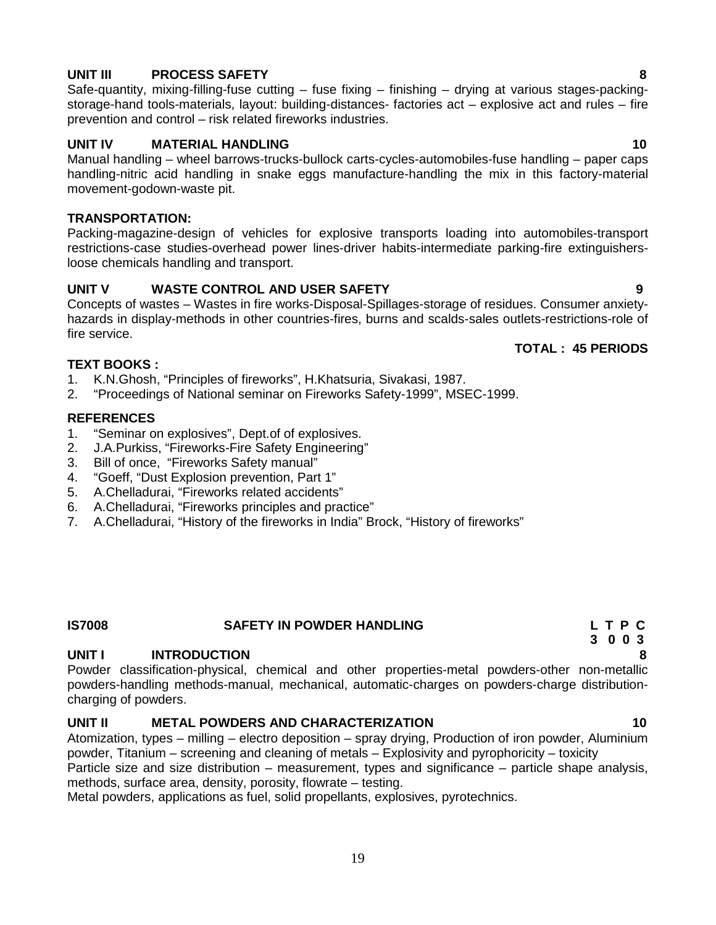#### **UNIT III PROCESS SAFETY 8**

Safe-quantity, mixing-filling-fuse cutting – fuse fixing – finishing – drying at various stages-packing storage-hand tools-materials, layout: building-distances- factories act – explosive act and rules – fire prevention and control – risk related fireworks industries.

#### **UNIT IV MATERIAL HANDLING 10**

Manual handling – wheel barrows-trucks-bullock carts-cycles-automobiles-fuse handling – paper caps handling-nitric acid handling in snake eggs manufacture-handling the mix in this factory-material movement-godown-waste pit.

#### **TRANSPORTATION:**

Packing-magazine-design of vehicles for explosive transports loading into automobiles-transport restrictions-case studies-overhead power lines-driver habits-intermediate parking-fire extinguishersloose chemicals handling and transport.

#### **UNIT V WASTE CONTROL AND USER SAFETY 9**

Concepts of wastes – Wastes in fire works-Disposal-Spillages-storage of residues. Consumer anxiety hazards in display-methods in other countries-fires, burns and scalds-sales outlets-restrictions-role of fire service.

#### **TOTAL : 45 PERIODS**

#### **TEXT BOOKS :**

- 1. K.N.Ghosh, "Principles of fireworks", H.Khatsuria, Sivakasi, 1987.
- 2. "Proceedings of National seminar on Fireworks Safety-1999", MSEC-1999.

#### **REFERENCES**

- 1. "Seminar on explosives", Dept.of of explosives.
- 2. J.A.Purkiss, "Fireworks-Fire Safety Engineering"
- 3. Bill of once, "Fireworks Safety manual"
- 4. "Goeff, "Dust Explosion prevention, Part 1"
- 5. A.Chelladurai, "Fireworks related accidents"
- 6. A.Chelladurai, "Fireworks principles and practice"
- 7. A.Chelladurai, "History of the fireworks in India" Brock, "History of fireworks"

#### **IS7008 SAFETY IN POWDER HANDLING L T P C**

#### **UNIT I INTRODUCTION 8**

Powder classification-physical, chemical and other properties-metal powders-other non-metallic powders-handling methods-manual, mechanical, automatic-charges on powders-charge distribution charging of powders.

#### **UNIT II METAL POWDERS AND CHARACTERIZATION 10**

Atomization, types – milling – electro deposition – spray drying, Production of iron powder, Aluminium powder, Titanium – screening and cleaning of metals – Explosivity and pyrophoricity – toxicity

Particle size and size distribution – measurement, types and significance – particle shape analysis, methods, surface area, density, porosity, flowrate – testing.

Metal powders, applications as fuel, solid propellants, explosives, pyrotechnics.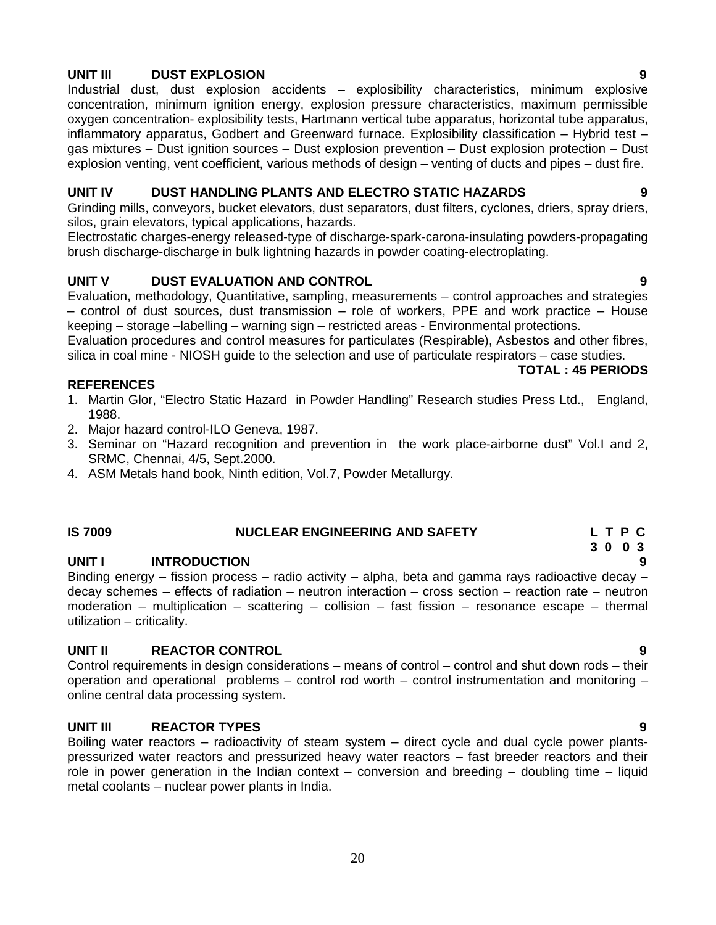#### **UNIT III DUST EXPLOSION 9**

Industrial dust, dust explosion accidents – explosibility characteristics, minimum explosive concentration, minimum ignition energy, explosion pressure characteristics, maximum permissible oxygen concentration- explosibility tests, Hartmann vertical tube apparatus, horizontal tube apparatus, inflammatory apparatus, Godbert and Greenward furnace. Explosibility classification – Hybrid test – gas mixtures – Dust ignition sources – Dust explosion prevention – Dust explosion protection – Dust explosion venting, vent coefficient, various methods of design – venting of ducts and pipes – dust fire.

#### **UNIT IV DUST HANDLING PLANTS AND ELECTRO STATIC HAZARDS 9**

Grinding mills, conveyors, bucket elevators, dust separators, dust filters, cyclones, driers, spray driers, silos, grain elevators, typical applications, hazards.

Electrostatic charges-energy released-type of discharge-spark-carona-insulating powders-propagating brush discharge-discharge in bulk lightning hazards in powder coating-electroplating.

#### **UNIT V DUST EVALUATION AND CONTROL 9**

Evaluation, methodology, Quantitative, sampling, measurements – control approaches and strategies – control of dust sources, dust transmission – role of workers, PPE and work practice – House keeping – storage –labelling – warning sign – restricted areas - Environmental protections.

Evaluation procedures and control measures for particulates (Respirable), Asbestos and other fibres, silica in coal mine - NIOSH guide to the selection and use of particulate respirators – case studies.

#### **REFERENCES**

- 1. Martin Glor, "Electro Static Hazard in Powder Handling" Research studies Press Ltd., England, 1988.
- 2. Major hazard control-ILO Geneva, 1987.
- 3. Seminar on "Hazard recognition and prevention in the work place-airborne dust" Vol.I and 2, SRMC, Chennai, 4/5, Sept.2000.
- 4. ASM Metals hand book, Ninth edition, Vol.7, Powder Metallurgy*.*

#### **IS 7009 NUCLEAR ENGINEERING AND SAFETY L T P C**

#### **UNIT I INTRODUCTION 9**

Binding energy – fission process – radio activity – alpha, beta and gamma rays radioactive decay – decay schemes – effects of radiation – neutron interaction – cross section – reaction rate – neutron moderation – multiplication – scattering – collision – fast fission – resonance escape – thermal utilization – criticality.

#### **UNIT II REACTOR CONTROL 9**

Control requirements in design considerations – means of control – control and shut down rods – their operation and operational problems – control rod worth – control instrumentation and monitoring – online central data processing system.

#### **UNIT III REACTOR TYPES 9**

Boiling water reactors – radioactivity of steam system – direct cycle and dual cycle power plants pressurized water reactors and pressurized heavy water reactors – fast breeder reactors and their role in power generation in the Indian context – conversion and breeding – doubling time – liquid metal coolants – nuclear power plants in India.

# **3 0 0 3**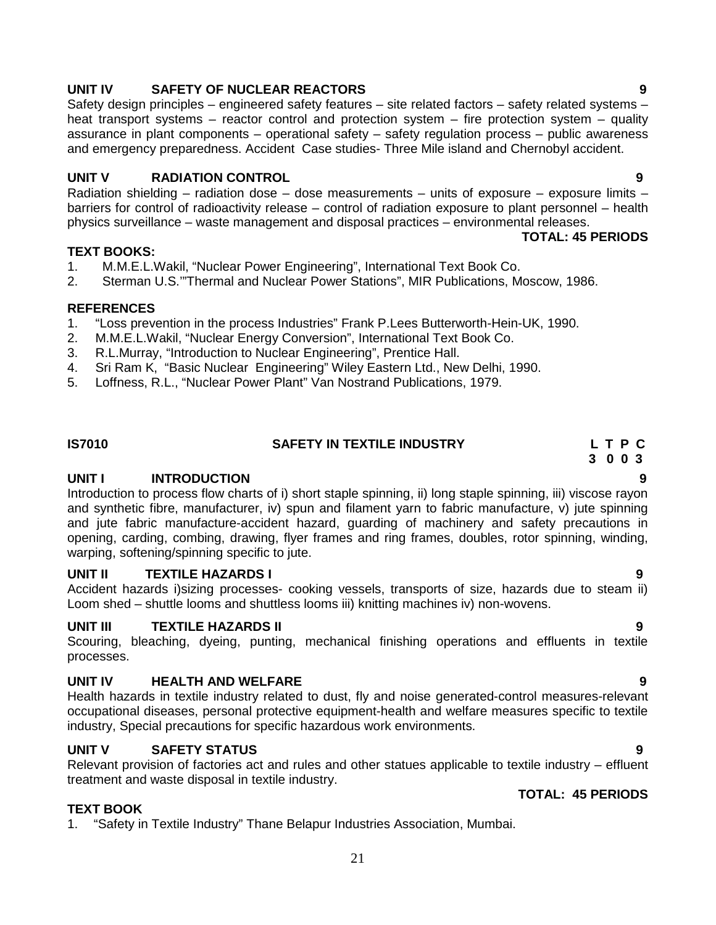#### **UNIT IV SAFETY OF NUCLEAR REACTORS 9**

Safety design principles – engineered safety features – site related factors – safety related systems – heat transport systems – reactor control and protection system – fire protection system – quality assurance in plant components – operational safety – safety regulation process – public awareness and emergency preparedness. Accident Case studies- Three Mile island and Chernobyl accident.

#### **UNIT V RADIATION CONTROL 9**

Radiation shielding – radiation dose – dose measurements – units of exposure – exposure limits – barriers for control of radioactivity release – control of radiation exposure to plant personnel – health physics surveillance – waste management and disposal practices – environmental releases.

#### **TOTAL: 45 PERIODS**

#### **TEXT BOOKS:**

- 1. M.M.E.L.Wakil, "Nuclear Power Engineering", International Text Book Co.
- 2. Sterman U.S.'"Thermal and Nuclear Power Stations", MIR Publications, Moscow, 1986.

#### **REFERENCES**

- 1. "Loss prevention in the process Industries" Frank P.Lees Butterworth-Hein-UK, 1990.
- 2. M.M.E.L.Wakil, "Nuclear Energy Conversion", International Text Book Co.
- 3. R.L.Murray, "Introduction to Nuclear Engineering", Prentice Hall.
- 4. Sri Ram K, "Basic Nuclear Engineering" Wiley Eastern Ltd., New Delhi, 1990.
- 5. Loffness, R.L., "Nuclear Power Plant" Van Nostrand Publications, 1979.

#### **IS7010 SAFETY IN TEXTILE INDUSTRY L T P C**

#### **UNIT I INTRODUCTION 9**

Introduction to process flow charts of i) short staple spinning, ii) long staple spinning, iii) viscose rayon and synthetic fibre, manufacturer, iv) spun and filament yarn to fabric manufacture, v) jute spinning and jute fabric manufacture-accident hazard, guarding of machinery and safety precautions in opening, carding, combing, drawing, flyer frames and ring frames, doubles, rotor spinning, winding, warping, softening/spinning specific to jute.

#### **UNIT II TEXTILE HAZARDS I 9**

Accident hazards i)sizing processes- cooking vessels, transports of size, hazards due to steam ii) Loom shed – shuttle looms and shuttless looms iii) knitting machines iv) non-wovens.

#### **UNIT III TEXTILE HAZARDS II 9**

Scouring, bleaching, dyeing, punting, mechanical finishing operations and effluents in textile processes.

#### **UNIT IV HEALTH AND WELFARE 9**

Health hazards in textile industry related to dust, fly and noise generated-control measures-relevant occupational diseases, personal protective equipment-health and welfare measures specific to textile industry, Special precautions for specific hazardous work environments.

#### **UNIT V SAFETY STATUS 9**

Relevant provision of factories act and rules and other statues applicable to textile industry – effluent treatment and waste disposal in textile industry. **TOTAL: 45 PERIODS**

#### **TEXT BOOK**

1. "Safety in Textile Industry" Thane Belapur Industries Association, Mumbai.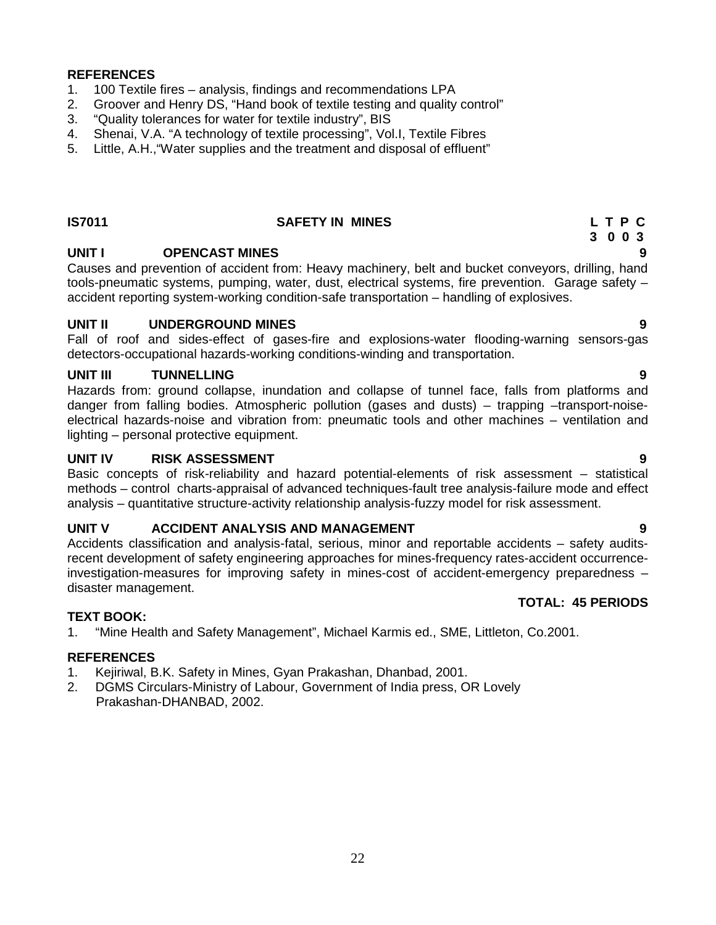#### **REFERENCES**

- 1. 100 Textile fires analysis, findings and recommendations LPA
- 2. Groover and Henry DS, "Hand book of textile testing and quality control"
- 3. "Quality tolerances for water for textile industry", BIS
- 4. Shenai, V.A. "A technology of textile processing", Vol.I, Textile Fibres
- 5. Little, A.H.,"Water supplies and the treatment and disposal of effluent"

#### **IS7011 SAFETY IN MINES L T P C**

#### **UNIT I OPENCAST MINES 9**

Causes and prevention of accident from: Heavy machinery, belt and bucket conveyors, drilling, hand tools-pneumatic systems, pumping, water, dust, electrical systems, fire prevention. Garage safety – accident reporting system-working condition-safe transportation – handling of explosives.

#### **UNIT II UNDERGROUND MINES 9**

Fall of roof and sides-effect of gases-fire and explosions-water flooding-warning sensors-gas detectors-occupational hazards-working conditions-winding and transportation.

#### **UNIT III TUNNELLING 9**

Hazards from: ground collapse, inundation and collapse of tunnel face, falls from platforms and danger from falling bodies. Atmospheric pollution (gases and dusts) – trapping –transport-noise electrical hazards-noise and vibration from: pneumatic tools and other machines – ventilation and lighting – personal protective equipment.

#### **UNIT IV RISK ASSESSMENT 9**

Basic concepts of risk-reliability and hazard potential-elements of risk assessment – statistical methods – control charts-appraisal of advanced techniques-fault tree analysis-failure mode and effect analysis – quantitative structure-activity relationship analysis-fuzzy model for risk assessment.

#### **UNIT V ACCIDENT ANALYSIS AND MANAGEMENT 9**

Accidents classification and analysis-fatal, serious, minor and reportable accidents – safety auditsrecent development of safety engineering approaches for mines-frequency rates-accident occurrenceinvestigation-measures for improving safety in mines-cost of accident-emergency preparedness – disaster management.

### **TOTAL: 45 PERIODS**

#### **TEXT BOOK:**

1. "Mine Health and Safety Management", Michael Karmis ed., SME, Littleton, Co.2001.

#### **REFERENCES**

- 1. Kejiriwal, B.K. Safety in Mines, Gyan Prakashan, Dhanbad, 2001.
- 2. DGMS Circulars-Ministry of Labour, Government of India press, OR Lovely Prakashan-DHANBAD, 2002.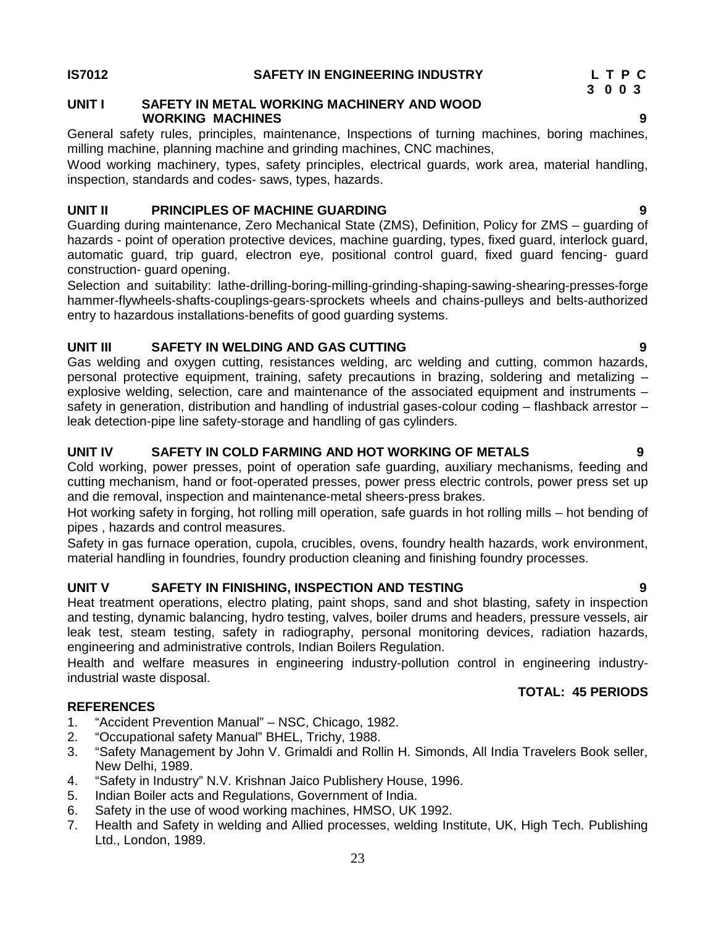#### **IS7012 SAFETY IN ENGINEERING INDUSTRY L T P C**

#### **UNIT I SAFETY IN METAL WORKING MACHINERY AND WOOD WORKING MACHINES 9**

General safety rules, principles, maintenance, Inspections of turning machines, boring machines, milling machine, planning machine and grinding machines, CNC machines,

Wood working machinery, types, safety principles, electrical guards, work area, material handling, inspection, standards and codes- saws, types, hazards.

#### **UNIT II PRINCIPLES OF MACHINE GUARDING 9**

Guarding during maintenance, Zero Mechanical State (ZMS), Definition, Policy for ZMS – guarding of hazards - point of operation protective devices, machine guarding, types, fixed guard, interlock guard, automatic guard, trip guard, electron eye, positional control guard, fixed guard fencing- guard construction- guard opening.

Selection and suitability: lathe-drilling-boring-milling-grinding-shaping-sawing-shearing-presses-forge hammer-flywheels-shafts-couplings-gears-sprockets wheels and chains-pulleys and belts-authorized entry to hazardous installations-benefits of good guarding systems.

#### **UNIT III SAFETY IN WELDING AND GAS CUTTING 9**

Gas welding and oxygen cutting, resistances welding, arc welding and cutting, common hazards, personal protective equipment, training, safety precautions in brazing, soldering and metalizing – explosive welding, selection, care and maintenance of the associated equipment and instruments – safety in generation, distribution and handling of industrial gases-colour coding – flashback arrestor – leak detection-pipe line safety-storage and handling of gas cylinders.

#### **UNIT IV SAFETY IN COLD FARMING AND HOT WORKING OF METALS 9**

Cold working, power presses, point of operation safe guarding, auxiliary mechanisms, feeding and cutting mechanism, hand or foot-operated presses, power press electric controls, power press set up and die removal, inspection and maintenance-metal sheers-press brakes.

Hot working safety in forging, hot rolling mill operation, safe guards in hot rolling mills – hot bending of pipes , hazards and control measures.

Safety in gas furnace operation, cupola, crucibles, ovens, foundry health hazards, work environment, material handling in foundries, foundry production cleaning and finishing foundry processes.

#### **UNIT V SAFETY IN FINISHING, INSPECTION AND TESTING 9**

Heat treatment operations, electro plating, paint shops, sand and shot blasting, safety in inspection and testing, dynamic balancing, hydro testing, valves, boiler drums and headers, pressure vessels, air leak test, steam testing, safety in radiography, personal monitoring devices, radiation hazards, engineering and administrative controls, Indian Boilers Regulation.

Health and welfare measures in engineering industry-pollution control in engineering industryindustrial waste disposal.

#### **REFERENCES**

- 1. "Accident Prevention Manual" NSC, Chicago, 1982.
- 2. "Occupational safety Manual" BHEL, Trichy, 1988.
- 3. "Safety Management by John V. Grimaldi and Rollin H. Simonds, All India Travelers Book seller, New Delhi, 1989.
- 4. "Safety in Industry" N.V. Krishnan Jaico Publishery House, 1996.
- 5. Indian Boiler acts and Regulations, Government of India.
- 6. Safety in the use of wood working machines, HMSO, UK 1992.
- 7. Health and Safety in welding and Allied processes, welding Institute, UK, High Tech. Publishing Ltd., London, 1989.

**3 0 0 3**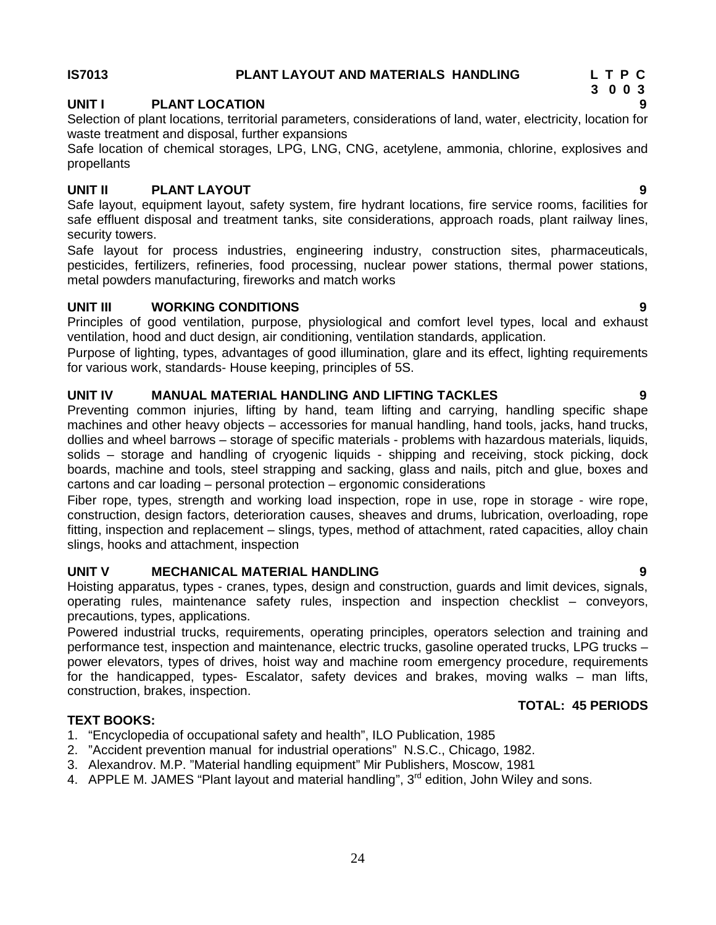#### **UNIT I PLANT LOCATION 9**

Selection of plant locations, territorial parameters, considerations of land, water, electricity, location for waste treatment and disposal, further expansions

Safe location of chemical storages, LPG, LNG, CNG, acetylene, ammonia, chlorine, explosives and propellants

#### **UNIT II PLANT LAYOUT 9**

Safe layout, equipment layout, safety system, fire hydrant locations, fire service rooms, facilities for safe effluent disposal and treatment tanks, site considerations, approach roads, plant railway lines, security towers.

Safe layout for process industries, engineering industry, construction sites, pharmaceuticals, pesticides, fertilizers, refineries, food processing, nuclear power stations, thermal power stations, metal powders manufacturing, fireworks and match works

#### **UNIT III WORKING CONDITIONS 9**

Principles of good ventilation, purpose, physiological and comfort level types, local and exhaust ventilation, hood and duct design, air conditioning, ventilation standards, application.

Purpose of lighting, types, advantages of good illumination, glare and its effect, lighting requirements for various work, standards- House keeping, principles of 5S.

#### **UNIT IV MANUAL MATERIAL HANDLING AND LIFTING TACKLES 9**

Preventing common injuries, lifting by hand, team lifting and carrying, handling specific shape machines and other heavy objects – accessories for manual handling, hand tools, jacks, hand trucks, dollies and wheel barrows – storage of specific materials - problems with hazardous materials, liquids, solids – storage and handling of cryogenic liquids - shipping and receiving, stock picking, dock boards, machine and tools, steel strapping and sacking, glass and nails, pitch and glue, boxes and cartons and car loading – personal protection – ergonomic considerations

Fiber rope, types, strength and working load inspection, rope in use, rope in storage - wire rope, construction, design factors, deterioration causes, sheaves and drums, lubrication, overloading, rope fitting, inspection and replacement – slings, types, method of attachment, rated capacities, alloy chain slings, hooks and attachment, inspection

#### **UNIT V MECHANICAL MATERIAL HANDLING 9**

Hoisting apparatus, types - cranes, types, design and construction, guards and limit devices, signals, operating rules, maintenance safety rules, inspection and inspection checklist – conveyors, precautions, types, applications.

Powered industrial trucks, requirements, operating principles, operators selection and training and performance test, inspection and maintenance, electric trucks, gasoline operated trucks, LPG trucks – power elevators, types of drives, hoist way and machine room emergency procedure, requirements for the handicapped, types- Escalator, safety devices and brakes, moving walks – man lifts, construction, brakes, inspection.

#### **TEXT BOOKS:**

- 1. "Encyclopedia of occupational safety and health", ILO Publication, 1985
- 2. "Accident prevention manual for industrial operations" N.S.C., Chicago, 1982.
- 3. Alexandrov. M.P. "Material handling equipment" Mir Publishers, Moscow, 1981
- 4. APPLE M. JAMES "Plant layout and material handling", 3<sup>rd</sup> edition, John Wiley and sons.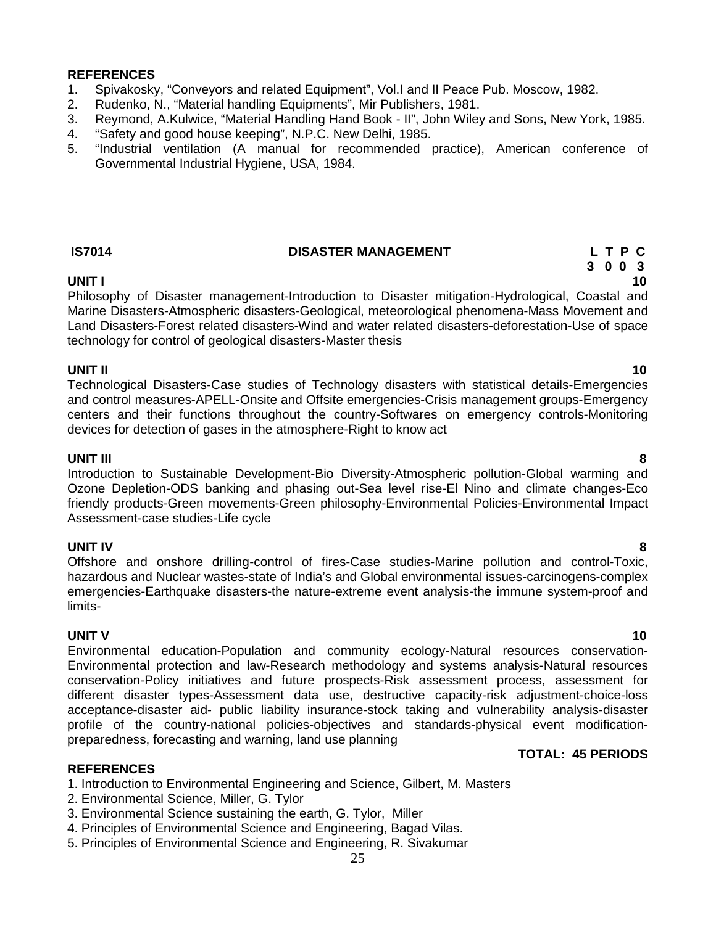#### **REFERENCES**

- 1. Spivakosky, "Conveyors and related Equipment", Vol.I and II Peace Pub. Moscow, 1982.
- 2. Rudenko, N., "Material handling Equipments", Mir Publishers, 1981.
- 3. Reymond, A.Kulwice, "Material Handling Hand Book II", John Wiley and Sons, New York, 1985.
- 4. "Safety and good house keeping", N.P.C. New Delhi, 1985.
- 5. "Industrial ventilation (A manual for recommended practice), American conference of Governmental Industrial Hygiene, USA, 1984.

#### **IS7014 DISASTER MANAGEMENT L T P C**

### **3 0 0 3**

#### **UNIT I 10**

Philosophy of Disaster management-Introduction to Disaster mitigation-Hydrological, Coastal and Marine Disasters-Atmospheric disasters-Geological, meteorological phenomena-Mass Movement and Land Disasters-Forest related disasters-Wind and water related disasters-deforestation-Use of space technology for control of geological disasters-Master thesis

#### **UNIT II 10**

Technological Disasters-Case studies of Technology disasters with statistical details-Emergencies and control measures-APELL-Onsite and Offsite emergencies-Crisis management groups-Emergency centers and their functions throughout the country-Softwares on emergency controls-Monitoring devices for detection of gases in the atmosphere-Right to know act

#### **UNIT III 8**

Introduction to Sustainable Development-Bio Diversity-Atmospheric pollution-Global warming and Ozone Depletion-ODS banking and phasing out-Sea level rise-El Nino and climate changes-Eco friendly products-Green movements-Green philosophy-Environmental Policies-Environmental Impact Assessment-case studies-Life cycle

**UNIT IV 8** Offshore and onshore drilling-control of fires-Case studies-Marine pollution and control-Toxic, hazardous and Nuclear wastes-state of India's and Global environmental issues-carcinogens-complex emergencies-Earthquake disasters-the nature-extreme event analysis-the immune system-proof and limits-

**UNIT V 10** Environmental education-Population and community ecology-Natural resources conservation- Environmental protection and law-Research methodology and systems analysis-Natural resources conservation-Policy initiatives and future prospects-Risk assessment process, assessment for different disaster types-Assessment data use, destructive capacity-risk adjustment-choice-loss acceptance-disaster aid- public liability insurance-stock taking and vulnerability analysis-disaster profile of the country-national policies-objectives and standards-physical event modification preparedness, forecasting and warning, land use planning

#### **REFERENCES**

- 1. Introduction to Environmental Engineering and Science, Gilbert, M. Masters
- 2. Environmental Science, Miller, G. Tylor
- 3. Environmental Science sustaining the earth, G. Tylor, Miller
- 4. Principles of Environmental Science and Engineering, Bagad Vilas.
- 5. Principles of Environmental Science and Engineering, R. Sivakumar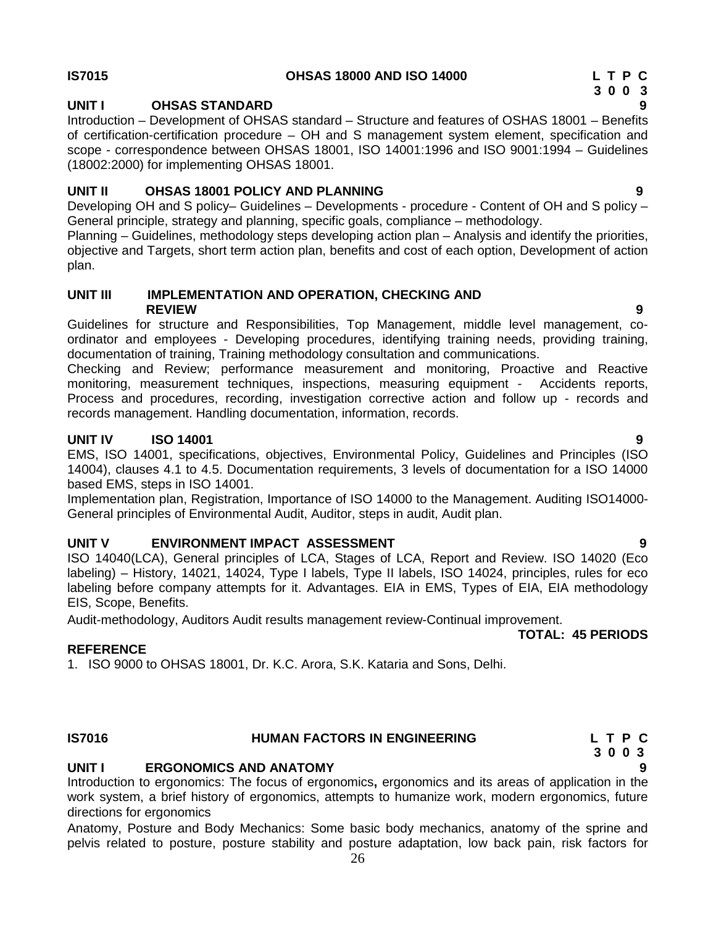#### **IS7015 OHSAS 18000 AND ISO 14000 L T P C**

### **UNIT I OHSAS STANDARD 9**

Introduction – Development of OHSAS standard – Structure and features of OSHAS 18001 – Benefits of certification-certification procedure – OH and S management system element, specification and scope - correspondence between OHSAS 18001, ISO 14001:1996 and ISO 9001:1994 – Guidelines (18002:2000) for implementing OHSAS 18001.

### **UNIT II OHSAS 18001 POLICY AND PLANNING 9**

Developing OH and S policy– Guidelines – Developments - procedure - Content of OH and S policy – General principle, strategy and planning, specific goals, compliance – methodology.

Planning – Guidelines, methodology steps developing action plan – Analysis and identify the priorities, objective and Targets, short term action plan, benefits and cost of each option, Development of action plan.

#### **UNIT III IMPLEMENTATION AND OPERATION, CHECKING AND REVIEW 9**

Guidelines for structure and Responsibilities, Top Management, middle level management, co ordinator and employees - Developing procedures, identifying training needs, providing training, documentation of training, Training methodology consultation and communications.

Checking and Review; performance measurement and monitoring, Proactive and Reactive monitoring, measurement techniques, inspections, measuring equipment - Accidents reports, Process and procedures, recording, investigation corrective action and follow up - records and records management. Handling documentation, information, records.

### **UNIT IV ISO 14001 9**

EMS, ISO 14001, specifications, objectives, Environmental Policy, Guidelines and Principles (ISO 14004), clauses 4.1 to 4.5. Documentation requirements, 3 levels of documentation for a ISO 14000 based EMS, steps in ISO 14001.

Implementation plan, Registration, Importance of ISO 14000 to the Management. Auditing ISO14000- General principles of Environmental Audit, Auditor, steps in audit, Audit plan.

### **UNIT V ENVIRONMENT IMPACT ASSESSMENT 9**

ISO 14040(LCA), General principles of LCA, Stages of LCA, Report and Review. ISO 14020 (Eco labeling) – History, 14021, 14024, Type I labels, Type II labels, ISO 14024, principles, rules for eco labeling before company attempts for it. Advantages. EIA in EMS, Types of EIA, EIA methodology EIS, Scope, Benefits.

Audit-methodology, Auditors Audit results management review-Continual improvement. **TOTAL: 45 PERIODS**

### **REFERENCE**

1. ISO 9000 to OHSAS 18001, Dr. K.C. Arora, S.K. Kataria and Sons, Delhi.

### **UNIT I ERGONOMICS AND ANATOMY 9**

Introduction to ergonomics: The focus of ergonomics**,** ergonomics and its areas of application in the work system, a brief history of ergonomics, attempts to humanize work, modern ergonomics, future directions for ergonomics

Anatomy, Posture and Body Mechanics: Some basic body mechanics, anatomy of the sprine and pelvis related to posture, posture stability and posture adaptation, low back pain, risk factors for

### **IS7016 HUMAN FACTORS IN ENGINEERING L T P C 3 0 0 3**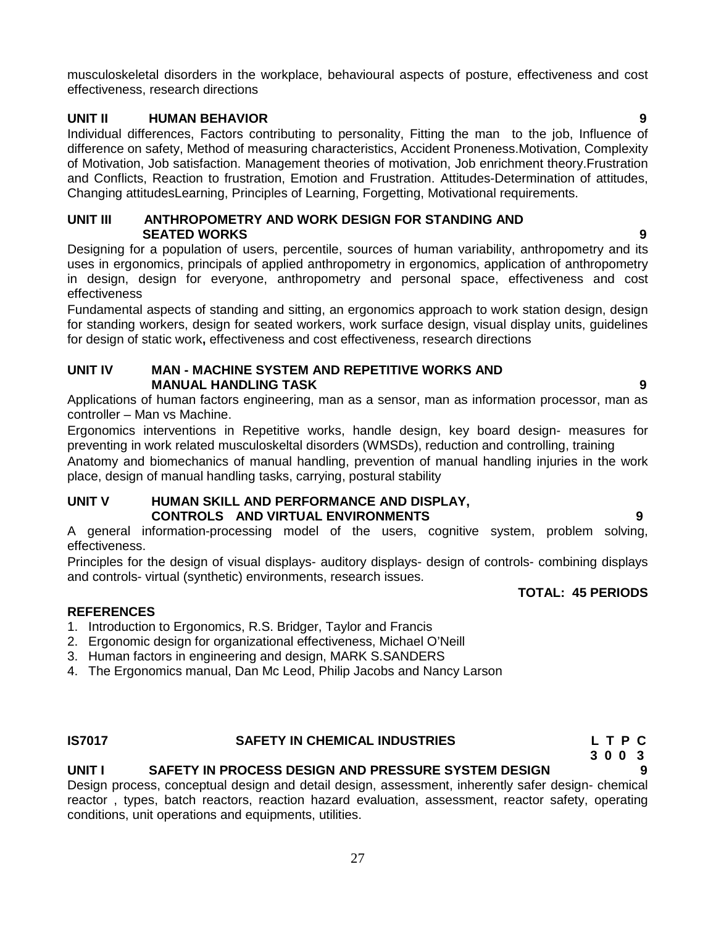musculoskeletal disorders in the workplace, behavioural aspects of posture, effectiveness and cost effectiveness, research directions

#### **UNIT II HUMAN BEHAVIOR 9**

Individual differences, Factors contributing to personality, Fitting the man to the job, Influence of difference on safety, Method of measuring characteristics, Accident Proneness.Motivation, Complexity of Motivation, Job satisfaction. Management theories of motivation, Job enrichment theory.Frustration and Conflicts, Reaction to frustration, Emotion and Frustration. Attitudes-Determination of attitudes, Changing attitudesLearning, Principles of Learning, Forgetting, Motivational requirements.

#### **UNIT III ANTHROPOMETRY AND WORK DESIGN FOR STANDING AND SEATED WORKS 9**

Designing for a population of users, percentile, sources of human variability, anthropometry and its uses in ergonomics, principals of applied anthropometry in ergonomics, application of anthropometry in design, design for everyone, anthropometry and personal space, effectiveness and cost effectiveness

Fundamental aspects of standing and sitting, an ergonomics approach to work station design, design for standing workers, design for seated workers, work surface design, visual display units, guidelines for design of static work**,** effectiveness and cost effectiveness, research directions

#### **UNIT IV MAN - MACHINE SYSTEM AND REPETITIVE WORKS AND MANUAL HANDLING TASK 9**

Applications of human factors engineering, man as a sensor, man as information processor, man as controller – Man vs Machine.

Ergonomics interventions in Repetitive works, handle design, key board design- measures for preventing in work related musculoskeltal disorders (WMSDs), reduction and controlling, training

Anatomy and biomechanics of manual handling, prevention of manual handling injuries in the work place, design of manual handling tasks, carrying, postural stability

#### **UNIT V HUMAN SKILL AND PERFORMANCE AND DISPLAY, CONTROLS AND VIRTUAL ENVIRONMENTS 9**

A general information-processing model of the users, cognitive system, problem solving, effectiveness.

Principles for the design of visual displays- auditory displays- design of controls- combining displays and controls- virtual (synthetic) environments, research issues.

#### **TOTAL: 45 PERIODS**

#### **REFERENCES**

- 1. Introduction to Ergonomics, R.S. Bridger, Taylor and Francis
- 2. Ergonomic design for organizational effectiveness, Michael O'Neill
- 3. Human factors in engineering and design, MARK S.SANDERS
- 4. The Ergonomics manual, Dan Mc Leod, Philip Jacobs and Nancy Larson

#### **IS7017 SAFETY IN CHEMICAL INDUSTRIES L T P C**

#### **UNIT I SAFETY IN PROCESS DESIGN AND PRESSURE SYSTEM DESIGN 9**

Design process, conceptual design and detail design, assessment, inherently safer design- chemical reactor , types, batch reactors, reaction hazard evaluation, assessment, reactor safety, operating conditions, unit operations and equipments, utilities.